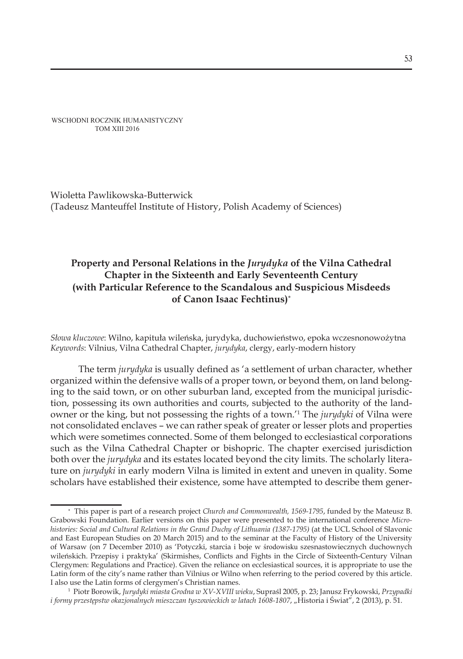WSCHODNI ROCZNIK HUMANISTYCZNY TOM XIII 2016

Wioletta Pawlikowska-Butterwick (Tadeusz Manteuffel Institute of History, Polish Academy of Sciences)

# **Property and Personal Relations in the** *Jurydyka* **of the Vilna Cathedral Chapter in the Sixteenth and Early Seventeenth Century (with Particular Reference to the Scandalous and Suspicious Misdeeds of Canon Isaac Fechtinus)**\*

*Słowa kluczowe*: Wilno, kapituła wileńska, jurydyka, duchowieństwo, epoka wczesnonowożytna *Keywords*: Vilnius, Vilna Cathedral Chapter, *jurydyka*, clergy, early-modern history

The term *jurydyka* is usually defined as 'a settlement of urban character, whether organized within the defensive walls of a proper town, or beyond them, on land belonging to the said town, or on other suburban land, excepted from the municipal jurisdiction, possessing its own authorities and courts, subjected to the authority of the landowner or the king, but not possessing the rights of a town.'<sup>1</sup> The *jurydyki* of Vilna were not consolidated enclaves – we can rather speak of greater or lesser plots and properties which were sometimes connected. Some of them belonged to ecclesiastical corporations such as the Vilna Cathedral Chapter or bishopric. The chapter exercised jurisdiction both over the *jurydyka* and its estates located beyond the city limits. The scholarly literature on *jurydyki* in early modern Vilna is limited in extent and uneven in quality. Some scholars have established their existence, some have attempted to describe them gener-

<sup>∗</sup> This paper is part of a research project *Church and Commonwealth, 1569-1795*, funded by the Mateusz B. Grabowski Foundation. Earlier versions on this paper were presented to the international conference *Microhistories: Social and Cultural Relations in the Grand Duchy of Lithuania (1387-1795)* (at the UCL School of Slavonic and East European Studies on 20 March 2015) and to the seminar at the Faculty of History of the University of Warsaw (on 7 December 2010) as 'Potyczki, starcia i boje w środowisku szesnastowiecznych duchownych wileńskich. Przepisy i praktyka' (Skirmishes, Conflicts and Fights in the Circle of Sixteenth-Century Vilnan Clergymen: Regulations and Practice). Given the reliance on ecclesiastical sources, it is appropriate to use the Latin form of the city's name rather than Vilnius or Wilno when referring to the period covered by this article. I also use the Latin forms of clergymen's Christian names.

<sup>1</sup> Piotr Borowik, *Jurydyki miasta Grodna w XV-XVIII wieku*, Supraśl 2005, p. 23; Janusz Frykowski, *Przypadki i formy przestępstw okazjonalnych mieszczan tyszowieckich w latach 1608-1807*, "Historia i Świat", 2 (2013), p. 51.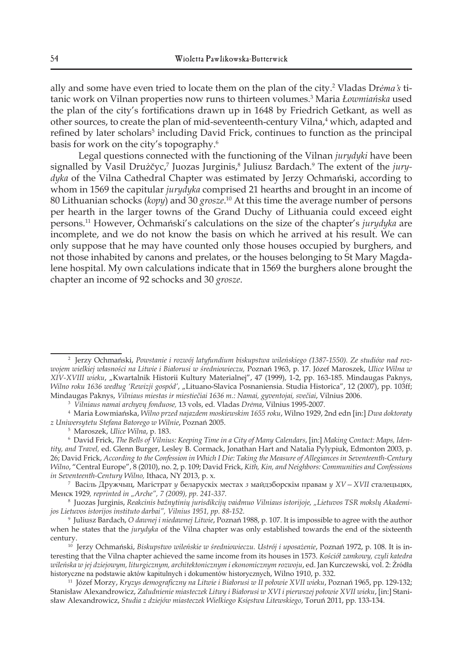ally and some have even tried to locate them on the plan of the city.<sup>2</sup> Vladas Dr*ėma's* titanic work on Vilnan properties now runs to thirteen volumes.3 Maria *Łowmiańska* used the plan of the city's fortifications drawn up in 1648 by Friedrich Getkant, as well as other sources, to create the plan of mid-seventeenth-century Vilna,<sup>4</sup> which, adapted and refined by later scholars<sup>5</sup> including David Frick, continues to function as the principal basis for work on the city's topography.6

Legal questions connected with the functioning of the Vilnan *jurydyki* have been signalled by Vasil Drużčyc,<sup>7</sup> Juozas Jurginis,<sup>8</sup> Juliusz Bardach.<sup>9</sup> The extent of the *jurydyka* of the Vilna Cathedral Chapter was estimated by Jerzy Ochmański, according to whom in 1569 the capitular *jurydyka* comprised 21 hearths and brought in an income of 80 Lithuanian schocks (*kopy*) and 30 *grosze*. <sup>10</sup> At this time the average number of persons per hearth in the larger towns of the Grand Duchy of Lithuania could exceed eight persons.<sup>11</sup> However, Ochmański's calculations on the size of the chapter's *jurydyka* are incomplete, and we do not know the basis on which he arrived at his result. We can only suppose that he may have counted only those houses occupied by burghers, and not those inhabited by canons and prelates, or the houses belonging to St Mary Magdalene hospital. My own calculations indicate that in 1569 the burghers alone brought the chapter an income of 92 schocks and 30 *grosze*.

3 *Vilniaus namai archyvų fonduose,* 13 vols, ed. Vladas *Drėma*, Vilnius 1995-2007.

7 Васіль Дружчыц, Магістрат *у* беларускіх местах *з* майдэборскім правам *у XV—XVII* сталецьцях, Менск 1929*, reprinted in "Arche", 7 (2009), pp. 241-337.* 

<sup>8</sup> Juozas Jurginis*, Reakcinis bažnytinių jurisdikcijų vaidmuo Vilniaus istorijoje, "Lietuvos TSR mokslų Akademijos Lietuvos istorijos instituto darbai", Vilnius 1951, pp. 88-152.*

<sup>2</sup> Jerzy Ochmański, *Powstanie i rozwój latyfundium biskupstwa wileńskiego (1387-1550). Ze studiów nad rozwojem wielkiej własności na Litwie i Białorusi w średniowieczu,* Poznań 1963, p. 17. Józef Maroszek, *Ulice Wilna w XIV-XVIII wieku*, "Kwartalnik Historii Kultury Materialnej", 47 (1999), 1-2, pp. 163-185. Mindaugas Paknys, *Wilno roku 1636 według 'Rewizji gospód'*, "Lituano-Slavica Posnaniensia. Studia Historica", 12 (2007), pp. 103ff; Mindaugas Paknys, *Vilniaus miestas ir miestiečiai 1636 m.: Namai, gyventojai, svečiai*, Vilnius 2006.

<sup>4</sup> Maria Łowmiańska, *Wilno przed najazdem moskiewskim 1655 roku*, Wilno 1929, 2nd edn [in:] *Dwa doktoraty z Uniwersytetu Stefana Batorego w Wilnie*, Poznań 2005.

<sup>5</sup> Maroszek, *Ulice Wilna*, p. 183.

<sup>6</sup> David Frick, *The Bells of Vilnius: Keeping Time in a City of Many Calendars*, [in:] *Making Contact: Maps, Identity, and Travel,* ed. Glenn Burger, Lesley B. Cormack, Jonathan Hart and Natalia Pylypiuk, Edmonton 2003, p. 26; David Frick, *According to the Confession in Which I Die: Taking the Measure of Allegiances in Seventeenth-Century Wilno*, "Central Europe", 8 (2010), no. 2, p. 109; David Frick, *Kith, Kin, and Neighbors: Communities and Confessions in Seventeenth-Century Wilno,* Ithaca, NY 2013, p. x.

<sup>9</sup> Juliusz Bardach, *O dawnej i niedawnej Litwie*, Poznań 1988, p. 107. It is impossible to agree with the author when he states that the *jurydyka* of the Vilna chapter was only established towards the end of the sixteenth century.

<sup>10</sup> Jerzy Ochmański, *Biskupstwo wileńskie w średniowieczu. Ustrój i uposażenie*, Poznań 1972, p. 108. It is interesting that the Vilna chapter achieved the same income from its houses in 1573. *Kościół zamkowy, czyli katedra wileńska w jej dziejowym, liturgicznym, architektonicznym i ekonomicznym rozwoju*, ed. Jan Kurczewski, vol. 2: Źródła historyczne na podstawie aktów kapitulnych i dokumentów historycznych, Wilno 1910, p. 332.

<sup>11</sup> Józef Morzy, *Kryzys demograficzny na Litwie i Białorusi w II połowie XVII wieku*, Poznań 1965, pp. 129-132; Stanisław Alexandrowicz, *Zaludnienie miasteczek Litwy i Białorusi w XVI i pierwszej połowie XVII wieku*, [in:] Stanisław Alexandrowicz, *Studia z dziejów miasteczek Wielkiego Księstwa Litewskiego*, Toruń 2011, pp. 133-134.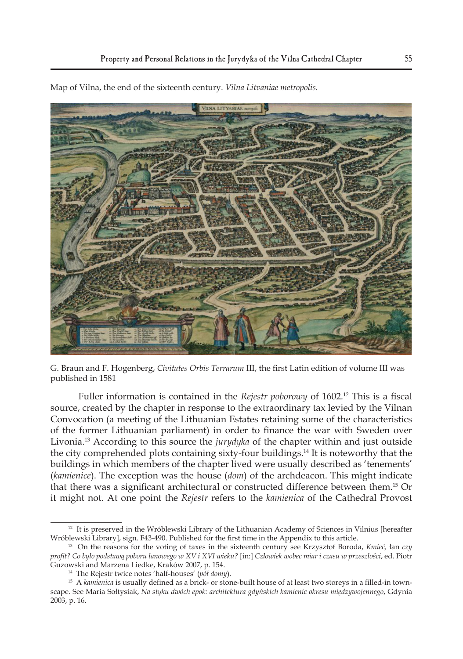

Map of Vilna, the end of the sixteenth century. *Vilna Litvaniae metropolis.*

G. Braun and F. Hogenberg, *Civitates Orbis Terrarum* III, the first Latin edition of volume III was published in 1581

Fuller information is contained in the *Rejestr poborowy* of 1602.<sup>12</sup> This is a fiscal source, created by the chapter in response to the extraordinary tax levied by the Vilnan Convocation (a meeting of the Lithuanian Estates retaining some of the characteristics of the former Lithuanian parliament) in order to finance the war with Sweden over Livonia.13 According to this source the *jurydyka* of the chapter within and just outside the city comprehended plots containing sixty-four buildings.14 It is noteworthy that the buildings in which members of the chapter lived were usually described as 'tenements' (*kamienice*). The exception was the house (*dom*) of the archdeacon. This might indicate that there was a significant architectural or constructed difference between them.<sup>15</sup> Or it might not. At one point the *Rejestr* refers to the *kamienica* of the Cathedral Provost

 $12$  It is preserved in the Wróblewski Library of the Lithuanian Academy of Sciences in Vilnius [hereafter Wróblewski Library], sign. F43-490. Published for the first time in the Appendix to this article.

<sup>13</sup> On the reasons for the voting of taxes in the sixteenth century see Krzysztof Boroda, *Kmieć,* łan *czy profit? Co było podstawą poboru łanowego w XV i XVI wieku?* [in:] *Człowiek wobec miar i czasu w przeszłości*, ed. Piotr Guzowski and Marzena Liedke, Kraków 2007, p. 154. 14 The Rejestr twice notes 'half-houses' (*pół domy*).

<sup>15</sup> A *kamienica* is usually defined as a brick- or stone-built house of at least two storeys in a filled-in townscape. See Maria Sołtysiak, *Na styku dwóch epok: architektura gdyńskich kamienic okresu międzywojennego*, Gdynia 2003, p. 16.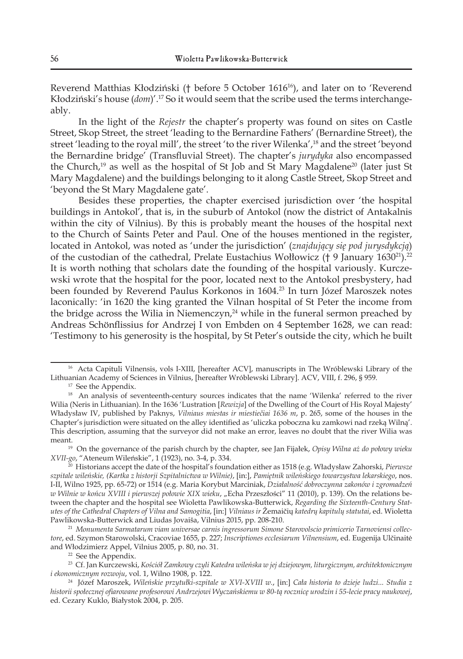Reverend Matthias Kłodziński († before 5 October 161616), and later on to 'Reverend Kłodziński's house (*dom*)'.17 So it would seem that the scribe used the terms interchangeably.

In the light of the *Rejestr* the chapter's property was found on sites on Castle Street, Skop Street, the street 'leading to the Bernardine Fathers' (Bernardine Street), the street 'leading to the royal mill', the street 'to the river Wilenka',18 and the street 'beyond the Bernardine bridge' (Transfluvial Street). The chapter's *jurydyka* also encompassed the Church, $19$  as well as the hospital of St Job and St Mary Magdalene<sup>20</sup> (later just St Mary Magdalene) and the buildings belonging to it along Castle Street, Skop Street and 'beyond the St Mary Magdalene gate'.

Besides these properties, the chapter exercised jurisdiction over 'the hospital buildings in Antokol', that is, in the suburb of Antokol (now the district of Antakalnis within the city of Vilnius). By this is probably meant the houses of the hospital next to the Church of Saints Peter and Paul. One of the houses mentioned in the register, located in Antokol, was noted as 'under the jurisdiction' (*znajdujący się pod jurysdykcją*) of the custodian of the cathedral, Prelate Eustachius Wołłowicz († 9 January 1630<sup>21</sup>).<sup>22</sup> It is worth nothing that scholars date the founding of the hospital variously. Kurczewski wrote that the hospital for the poor, located next to the Antokol presbystery, had been founded by Reverend Paulus Korkonos in 1604.<sup>23</sup> In turn Józef Maroszek notes laconically: 'in 1620 the king granted the Vilnan hospital of St Peter the income from the bridge across the Wilia in Niemenczyn,<sup>24</sup> while in the funeral sermon preached by Andreas Schönflissius for Andrzej I von Embden on 4 September 1628, we can read: 'Testimony to his generosity is the hospital, by St Peter's outside the city, which he built

<sup>&</sup>lt;sup>16</sup> Acta Capituli Vilnensis, vols I-XIII, [hereafter ACV], manuscripts in The Wróblewski Library of the Lithuanian Academy of Sciences in Vilnius, [hereafter Wróblewski Library]. ACV, VIII, f. 296, § 959.

<sup>&</sup>lt;sup>17</sup> See the Appendix.

<sup>&</sup>lt;sup>18</sup> An analysis of seventeenth-century sources indicates that the name 'Wilenka' referred to the river Wilia (Neris in Lithuanian). In the 1636 'Lustration [*Rewizja*] of the Dwelling of the Court of His Royal Majesty' Władysław IV, published by Paknys, *Vilniaus miestas ir miestiečiai 1636 m*, p. 265, some of the houses in the Chapter's jurisdiction were situated on the alley identified as 'uliczka poboczna ku zamkowi nad rzeką Wilną'. This description, assuming that the surveyor did not make an error, leaves no doubt that the river Wilia was meant.

<sup>19</sup> On the governance of the parish church by the chapter, see Jan Fijałek, *Opisy Wilna aż do połowy wieku XVII-go*, "Ateneum Wileńskie", 1 (1923), no. 3-4, p. 334.

<sup>20</sup> Historians accept the date of the hospital's foundation either as 1518 (e.g. Władysław Zahorski, *Pierwsze szpitale wileńskie, (Kartka z historji Szpitalnictwa w Wilnie)*, [in:], *Pamiętnik wileńskiego towarzystwa lekarskiego*, nos. I-II, Wilno 1925, pp. 65-72) or 1514 (e.g. Maria Korybut Marciniak, *Działalność dobroczynna zakonów i zgromadzeń w Wilnie w końcu XVIII i pierwszej połowie XIX wieku*, "Echa Przeszłości" 11 (2010), p. 139). On the relations between the chapter and the hospital see Wioletta Pawlikowska-Butterwick, *Regarding the Sixteenth-Century Statutes of the Cathedral Chapters of Vilna and Samogitia*, [in:] *Vilniaus ir* Žemaičių *katedrų kapitulų statutai*, ed. Wioletta Pawlikowska-Butterwick and Liudas Jovaiša, Vilnius 2015, pp. 208-210.

<sup>21</sup> *Monumenta Sarmatarum viam universae carnis ingressorum Simone Starovolscio primicerio Tarnoviensi collectore*, ed. Szymon Starowolski, Cracoviae 1655, p. 227; *Inscriptiones ecclesiarum Vilnensium*, ed. Eugenija Ulčinaitė and Włodzimierz Appel, Vilnius 2005, p. 80, no. 31.

<sup>22</sup> See the Appendix.

<sup>23</sup> Cf. Jan Kurczewski, *Kościół Zamkowy czyli Katedra wileńska w jej dziejowym, liturgicznym, architektonicznym i ekonomicznym rozwoju*, vol. 1, Wilno 1908, p. 122. 24 Józef Maroszek, *Wileńskie przytułki-szpitale w XVI-XVIII w.*, [in:] *Cała historia to dzieje ludzi... Studia z* 

*historii społecznej ofiarowane profesorowi Andrzejowi Wyczańskiemu w 80-tą rocznicę urodzin i 55-lecie pracy naukowej*, ed. Cezary Kuklo, Białystok 2004, p. 205.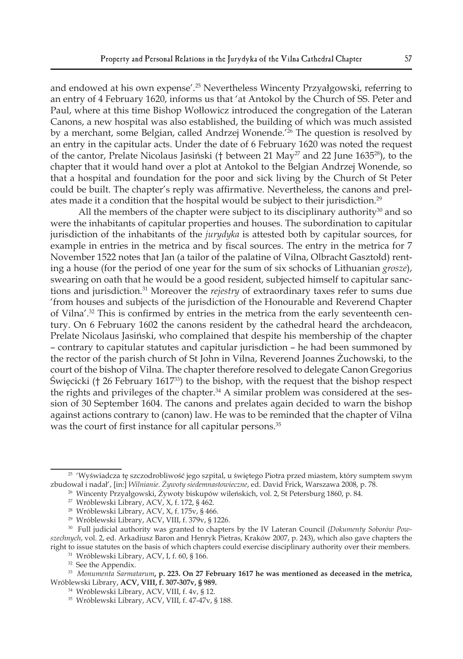and endowed at his own expense'.<sup>25</sup> Nevertheless Wincenty Przyałgowski, referring to an entry of 4 February 1620, informs us that 'at Antokol by the Church of SS. Peter and Paul, where at this time Bishop Wołłowicz introduced the congregation of the Lateran Canons, a new hospital was also established, the building of which was much assisted by a merchant, some Belgian, called Andrzej Wonende.'26 The question is resolved by an entry in the capitular acts. Under the date of 6 February 1620 was noted the request of the cantor, Prelate Nicolaus Jasiński († between 21 May<sup>27</sup> and 22 June 1635 $^{28}$ ), to the chapter that it would hand over a plot at Antokol to the Belgian Andrzej Wonende, so that a hospital and foundation for the poor and sick living by the Church of St Peter could be built. The chapter's reply was affirmative. Nevertheless, the canons and prelates made it a condition that the hospital would be subject to their jurisdiction.<sup>29</sup>

All the members of the chapter were subject to its disciplinary authority<sup>30</sup> and so were the inhabitants of capitular properties and houses. The subordination to capitular jurisdiction of the inhabitants of the *jurydyka* is attested both by capitular sources, for example in entries in the metrica and by fiscal sources. The entry in the metrica for 7 November 1522 notes that Jan (a tailor of the palatine of Vilna, Olbracht Gasztołd) renting a house (for the period of one year for the sum of six schocks of Lithuanian *grosze*), swearing on oath that he would be a good resident, subjected himself to capitular sanctions and jurisdiction.31 Moreover the *rejestry* of extraordinary taxes refer to sums due 'from houses and subjects of the jurisdiction of the Honourable and Reverend Chapter of Vilna'.32 This is confirmed by entries in the metrica from the early seventeenth century. On 6 February 1602 the canons resident by the cathedral heard the archdeacon, Prelate Nicolaus Jasiński, who complained that despite his membership of the chapter – contrary to capitular statutes and capitular jurisdiction – he had been summoned by the rector of the parish church of St John in Vilna, Reverend Joannes Żuchowski, to the court of the bishop of Vilna. The chapter therefore resolved to delegate Canon Gregorius Święcicki († 26 February 161733) to the bishop, with the request that the bishop respect the rights and privileges of the chapter. $34$  A similar problem was considered at the session of 30 September 1604. The canons and prelates again decided to warn the bishop against actions contrary to (canon) law. He was to be reminded that the chapter of Vilna was the court of first instance for all capitular persons.<sup>35</sup>

<sup>&</sup>lt;sup>25</sup> 'Wyświadcza tę szczodrobliwość jego szpital, u świętego Piotra przed miastem, który sumptem swym zbudował i nadał', [in:] *Wilnianie. Żywoty siedemnastowieczne*, ed. David Frick, Warszawa 2008, p. 78.

<sup>&</sup>lt;sup>26</sup> Wincenty Przyałgowski, Żywoty biskupów wileńskich, vol. 2, St Petersburg 1860, p. 84.

<sup>27</sup> Wróblewski Library, ACV, X, f. 172, § 462.

<sup>28</sup> Wróblewski Library, ACV, X, f. 175v, § 466.

<sup>29</sup> Wróblewski Library, ACV, VIII, f. 379v, § 1226.

<sup>30</sup> Full judicial authority was granted to chapters by the IV Lateran Council (*Dokumenty Soborów Powszechnych*, vol. 2, ed. Arkadiusz Baron and Henryk Pietras, Kraków 2007, p. 243), which also gave chapters the right to issue statutes on the basis of which chapters could exercise disciplinary authority over their members.

<sup>31</sup> Wróblewski Library, ACV, I, f. 60, § 166.

<sup>&</sup>lt;sup>32</sup> See the Appendix.

<sup>33</sup> *Monumenta Sarmatarum***, p. 223. On 27 February 1617 he was mentioned as deceased in the metrica,**  Wróblewski Library, **ACV, VIII, f. 307-307v, § 989.**

<sup>34</sup> Wróblewski Library, ACV, VIII, f. 4v, § 12.

<sup>35</sup> Wróblewski Library, ACV, VIII, f. 47-47v, § 188.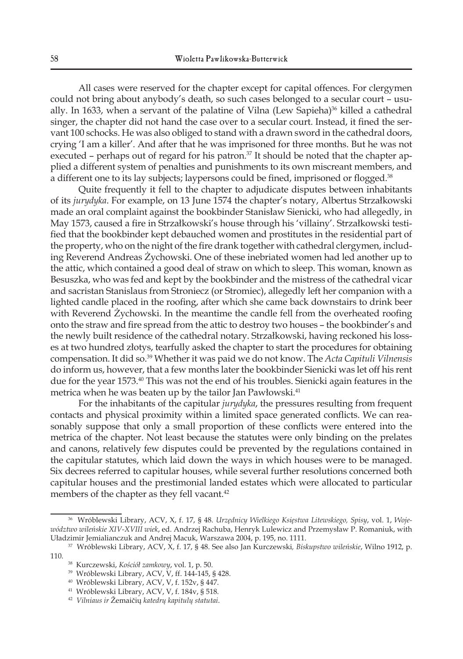All cases were reserved for the chapter except for capital offences. For clergymen could not bring about anybody's death, so such cases belonged to a secular court – usually. In 1633, when a servant of the palatine of Vilna (Lew Sapieha)<sup>36</sup> killed a cathedral singer, the chapter did not hand the case over to a secular court. Instead, it fined the servant 100 schocks. He was also obliged to stand with a drawn sword in the cathedral doors, crying 'I am a killer'. And after that he was imprisoned for three months. But he was not executed – perhaps out of regard for his patron. $37$  It should be noted that the chapter applied a different system of penalties and punishments to its own miscreant members, and a different one to its lay subjects; laypersons could be fined, imprisoned or flogged.<sup>38</sup>

Quite frequently it fell to the chapter to adjudicate disputes between inhabitants of its *jurydyka*. For example, on 13 June 1574 the chapter's notary, Albertus Strzałkowski made an oral complaint against the bookbinder Stanisław Sienicki, who had allegedly, in May 1573, caused a fire in Strzałkowski's house through his 'villainy'. Strzałkowski testified that the bookbinder kept debauched women and prostitutes in the residential part of the property, who on the night of the fire drank together with cathedral clergymen, including Reverend Andreas Żychowski. One of these inebriated women had led another up to the attic, which contained a good deal of straw on which to sleep. This woman, known as Besuszka, who was fed and kept by the bookbinder and the mistress of the cathedral vicar and sacristan Stanislaus from Stroniecz (or Stromiec), allegedly left her companion with a lighted candle placed in the roofing, after which she came back downstairs to drink beer with Reverend Żychowski. In the meantime the candle fell from the overheated roofing onto the straw and fire spread from the attic to destroy two houses – the bookbinder's and the newly built residence of the cathedral notary. Strzałkowski, having reckoned his losses at two hundred złotys, tearfully asked the chapter to start the procedures for obtaining compensation. It did so.39 Whether it was paid we do not know. The *Acta Capituli Vilnensis* do inform us, however, that a few months later the bookbinder Sienicki was let off his rent due for the year 1573.<sup>40</sup> This was not the end of his troubles. Sienicki again features in the metrica when he was beaten up by the tailor Jan Pawłowski.<sup>41</sup>

For the inhabitants of the capitular *jurydyka*, the pressures resulting from frequent contacts and physical proximity within a limited space generated conflicts. We can reasonably suppose that only a small proportion of these conflicts were entered into the metrica of the chapter. Not least because the statutes were only binding on the prelates and canons, relatively few disputes could be prevented by the regulations contained in the capitular statutes, which laid down the ways in which houses were to be managed. Six decrees referred to capitular houses, while several further resolutions concerned both capitular houses and the prestimonial landed estates which were allocated to particular members of the chapter as they fell vacant.<sup>42</sup>

<sup>36</sup> Wróblewski Library, ACV, X, f. 17, § 48. *Urzędnicy Wielkiego Księstwa Litewskiego, Spisy*, vol. 1, *Województwo wileńskie XIV-XVIII wiek*, ed. Andrzej Rachuba, Henryk Lulewicz and Przemysław P. Romaniuk, with Uładzimir Jemialianczuk and Andrej Macuk, Warszawa 2004, p. 195, no. 1111.

<sup>37</sup> Wróblewski Library, ACV, X, f. 17, § 48. See also Jan Kurczewski*, Biskupstwo wileńskie*, Wilno 1912, p. 110.

<sup>38</sup> Kurczewski, *Kościół zamkowy*, vol. 1, p. 50.

<sup>39</sup> Wróblewski Library, ACV, V, ff. 144-145, § 428.

<sup>40</sup> Wróblewski Library, ACV, V, f. 152v, § 447.

<sup>41</sup> Wróblewski Library, ACV, V, f. 184v, § 518.

<sup>42</sup> *Vilniaus ir* Žemaičių *katedrų kapitulų statutai*.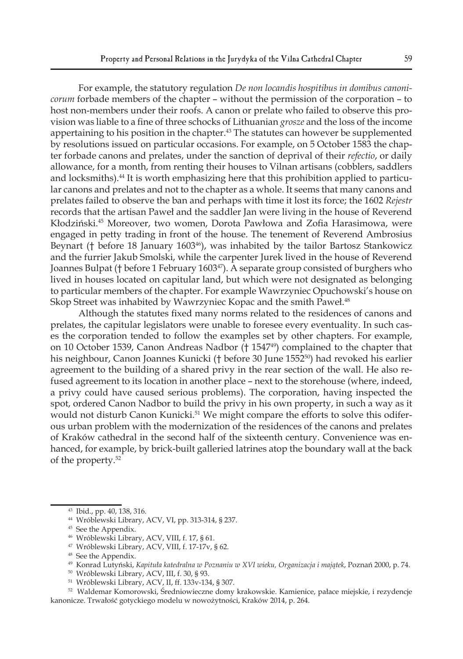For example, the statutory regulation *De non locandis hospitibus in domibus canonicorum* forbade members of the chapter – without the permission of the corporation – to host non-members under their roofs. A canon or prelate who failed to observe this provision was liable to a fine of three schocks of Lithuanian *grosze* and the loss of the income appertaining to his position in the chapter.<sup>43</sup> The statutes can however be supplemented by resolutions issued on particular occasions. For example, on 5 October 1583 the chapter forbade canons and prelates, under the sanction of deprival of their *refectio*, or daily allowance, for a month, from renting their houses to Vilnan artisans (cobblers, saddlers and locksmiths).<sup>44</sup> It is worth emphasizing here that this prohibition applied to particular canons and prelates and not to the chapter as a whole. It seems that many canons and prelates failed to observe the ban and perhaps with time it lost its force; the 1602 *Rejestr* records that the artisan Paweł and the saddler Jan were living in the house of Reverend Kłodziński.45 Moreover, two women, Dorota Pawłowa and Zofia Harasimowa, were engaged in petty trading in front of the house. The tenement of Reverend Ambrosius Beynart († before 18 January 1603<sup>46</sup>), was inhabited by the tailor Bartosz Stankowicz and the furrier Jakub Smolski, while the carpenter Jurek lived in the house of Reverend Joannes Bulpat († before 1 February 1603<sup>47</sup>). A separate group consisted of burghers who lived in houses located on capitular land, but which were not designated as belonging to particular members of the chapter. For example Wawrzyniec Opuchowski's house on Skop Street was inhabited by Wawrzyniec Kopac and the smith Paweł.<sup>48</sup>

Although the statutes fixed many norms related to the residences of canons and prelates, the capitular legislators were unable to foresee every eventuality. In such cases the corporation tended to follow the examples set by other chapters. For example, on 10 October 1539, Canon Andreas Nadbor († 154749) complained to the chapter that his neighbour, Canon Joannes Kunicki († before 30 June 1552<sup>50</sup>) had revoked his earlier agreement to the building of a shared privy in the rear section of the wall. He also refused agreement to its location in another place – next to the storehouse (where, indeed, a privy could have caused serious problems). The corporation, having inspected the spot, ordered Canon Nadbor to build the privy in his own property, in such a way as it would not disturb Canon Kunicki.<sup>51</sup> We might compare the efforts to solve this odiferous urban problem with the modernization of the residences of the canons and prelates of Kraków cathedral in the second half of the sixteenth century. Convenience was enhanced, for example, by brick-built galleried latrines atop the boundary wall at the back of the property.<sup>52</sup>

<sup>43</sup> Ibid., pp. 40, 138, 316.

<sup>44</sup> Wróblewski Library, ACV, VI, pp. 313-314, § 237.

<sup>45</sup> See the Appendix.

<sup>46</sup> Wróblewski Library, ACV, VIII, f. 17, § 61.

<sup>47</sup> Wróblewski Library, ACV, VIII, f. 17-17v, § 62.

<sup>48</sup> See the Appendix.

<sup>49</sup> Konrad Lutyński, *Kapituła katedralna w Poznaniu w XVI wieku, Organizacja i majątek*, Poznań 2000, p. 74.

<sup>50</sup> Wróblewski Library, ACV, III, f. 30, § 93.

<sup>51</sup> Wróblewski Library, ACV, II, ff. 133v-134, § 307.

<sup>52</sup> Waldemar Komorowski, Średniowieczne domy krakowskie. Kamienice, pałace miejskie, i rezydencje kanonicze. Trwałość gotyckiego modelu w nowożytności, Kraków 2014, p. 264.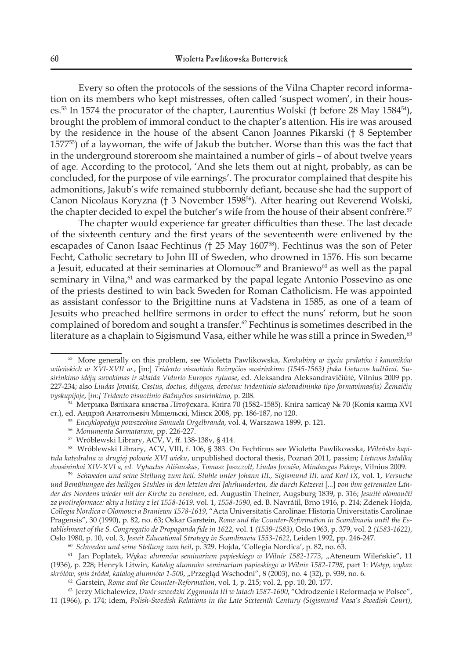Every so often the protocols of the sessions of the Vilna Chapter record information on its members who kept mistresses, often called 'suspect women', in their houses.<sup>53</sup> In 1574 the procurator of the chapter, Laurentius Wolski († before 28 May 1584<sup>54</sup>), brought the problem of immoral conduct to the chapter's attention. His ire was aroused by the residence in the house of the absent Canon Joannes Pikarski († 8 September 157755) of a laywoman, the wife of Jakub the butcher. Worse than this was the fact that in the underground storeroom she maintained a number of girls – of about twelve years of age. According to the protocol, 'And she lets them out at night, probably, as can be concluded, for the purpose of vile earnings'. The procurator complained that despite his admonitions, Jakub's wife remained stubbornly defiant, because she had the support of Canon Nicolaus Koryzna († 3 November 159856). After hearing out Reverend Wolski, the chapter decided to expel the butcher's wife from the house of their absent confrère.<sup>57</sup>

The chapter would experience far greater difficulties than these. The last decade of the sixteenth century and the first years of the seventeenth were enlivened by the escapades of Canon Isaac Fechtinus *(*† 25 May 160758)*.* Fechtinus was the son of Peter Fecht, Catholic secretary to John III of Sweden, who drowned in 1576. His son became a Jesuit, educated at their seminaries at Olomouc<sup>59</sup> and Braniewo<sup>60</sup> as well as the papal seminary in Vilna,<sup>61</sup> and was earmarked by the papal legate Antonio Possevino as one of the priests destined to win back Sweden for Roman Catholicism. He was appointed as assistant confessor to the Brigittine nuns at Vadstena in 1585, as one of a team of Jesuits who preached hellfire sermons in order to effect the nuns' reform, but he soon complained of boredom and sought a transfer. $62$  Fechtinus is sometimes described in the literature as a chaplain to Sigismund Vasa, either while he was still a prince in Sweden,<sup>63</sup>

- <sup>56</sup> *Monumenta Sarmatarum*, pp. 226-227.
- $57$  Wróblewski Library, ACV, V, ff. 138-138v, § 414.

58 Wróblewski Library, ACV, VIII, f. 106, § 383. On Fechtinus see Wioletta Pawlikowska, *Wileńska kapituła katedralna w drugiej połowie XVI wieku*, unpublished doctoral thesis, Poznań 2011, passim; *Lietuvos katalikų dvasininkai XIV-XVI a, ed. Vytautas Ališauskas, Tomasz Jaszczołt, Liudas Jovaiša, Mindaugas Paknys,* Vilnius 2009.

59 *Schweden und seine Stellung zum heil. Stuhle unter Johann III., Sigismund III. und Karl IX*, vol. 1, *Versuche*  und Bemühungen des heiligen Stuhles in den letzten drei Jahrhunderten, die durch Ketzerei [...] von ihm getrennten Län*der des Nordens wieder mit der Kirche zu vereinen*, ed. Augustin Theiner, Augsburg 1839, p. 316; *Jesuité olomoučtí za protireformace: akty a listiny z let 1558-1619,* vol. 1, *1558-1590*, ed. B. Navrátil, Brno 1916, p. 214; Zdenek Hojda, *Collegia Nordica v Olomouci a Braniewu 1578-1619*, "Acta Universitatis Carolinae: Historia Universitatis Carolinae Pragensis", 30 (1990), p. 82, no. 63; Oskar Garstein, *Rome and the Counter-Reformation in Scandinavia until the Establishment of the S. Congregatio de Propaganda fide in 1622*, vol. 1 *(1539-1583)*, Oslo 1963, p. 379, vol. 2 *(1583-1622)*, Oslo 1980, p. 10, vol. 3, *Jesuit Educational Strategy in Scandinavia 1553-1622*, Leiden 1992, pp. 246-247.

<sup>60</sup> *Schweden und seine Stellung zum heil*, p. 329. Hojda, 'Collegia Nordica', p. 82, no. 63.

61 Jan Poplatek, *Wykaz alumnów seminarium papieskiego w Wilnie 1582-1773*, "Ateneum Wileńskie", 11 (1936), p. 228; Henryk Litwin, *Katalog alumnów seminarium papieskiego w Wilnie 1582-1798*, part 1: *Wstęp, wykaz skrótów, spis źródeł, katalog alumnów 1-500*, "Przegląd Wschodni", 8 (2003), no. 4 (32), p. 939, no. 6.

<sup>62</sup> Garstein, *Rome and the Counter-Reformation*, vol. 1, p. 215; vol. 2, pp. 10, 20, 177.

63 Jerzy Michalewicz, *Dwór szwedzki Zygmunta III w latach 1587-1600*, "Odrodzenie i Reformacja w Polsce", 11 (1966), p. 174; idem, *Polish-Swedish Relations in the Late Sixteenth Century (Sigismund Vasa's Swedish Court)*,

<sup>53</sup> More generally on this problem, see Wioletta Pawlikowska, *Konkubiny w życiu prałatów i kanoników wileńskich w XVI-XVII w.*, [in:] *Tridento visuotinio Bažnyčios susirinkimo (1545-1563) įtaka Lietuvos kultūrai. Susirinkimo idėjų suvokimas ir sklaida Vidurio Europos rytuose*, ed. Aleksandra Aleksandravičiūtė, Vilnius 2009 pp. 227-234; also *Liudas Jovaiša, Castus, doctus, diligens, devotus: tridentinio sielovadininko tipo formavimas(is) Žemaičių vyskupijoje*, [*in:] Tridento visuotinio Bažnyčios susirinkimo,* p. 208.

<sup>&</sup>lt;sup>54 І</sup> Метрыка Вялікага княства Літоўскага. Кніга 70 (1582–1585). Кніга запісаў № 70 (Копія канца XVI ст.), ed. Андрэй Анатольевіч Мяцельскі, Мінск 2008, pp. 186-187, no 120.

<sup>55</sup> *Encyklopedyja powszechna Samuela Orgelbranda*, vol. 4, Warszawa 1899, p. 121.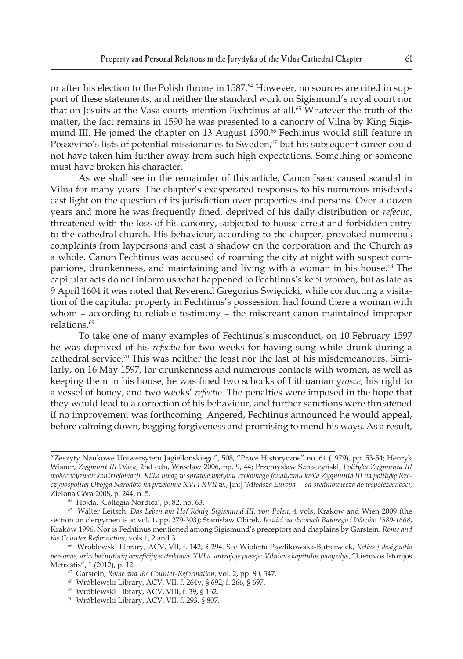or after his election to the Polish throne in 1587.<sup>64</sup> However, no sources are cited in support of these statements, and neither the standard work on Sigismund's royal court nor that on Jesuits at the Vasa courts mention Fechtinus at all.<sup>65</sup> Whatever the truth of the matter, the fact remains in 1590 he was presented to a canonry of Vilna by King Sigismund III. He joined the chapter on 13 August 1590.<sup>66</sup> Fechtinus would still feature in Possevino's lists of potential missionaries to Sweden,<sup>67</sup> but his subsequent career could not have taken him further away from such high expectations. Something or someone must have broken his character.

As we shall see in the remainder of this article, Canon Isaac caused scandal in Vilna for many years. The chapter's exasperated responses to his numerous misdeeds cast light on the question of its jurisdiction over properties and persons*.* Over a dozen years and more he was frequently fined, deprived of his daily distribution or *refectio*, threatened with the loss of his canonry, subjected to house arrest and forbidden entry to the cathedral church. His behaviour, according to the chapter, provoked numerous complaints from laypersons and cast a shadow on the corporation and the Church as a whole*.* Canon Fechtinus was accused of roaming the city at night with suspect companions, drunkenness, and maintaining and living with a woman in his house.<sup>68</sup> The capitular acts do not inform us what happened to Fechtinus's kept women, but as late as 9 April 1604 it was noted that Reverend Gregorius Święcicki, while conducting a visitation of the capitular property in Fechtinus's possession, had found there a woman with whom – according to reliable testimony – the miscreant canon maintained improper relations.<sup>69</sup>

To take one of many examples of Fechtinus's misconduct, on 10 February 1597 he was deprived of his *refectio* for two weeks for having sung while drunk during a cathedral service.<sup>70</sup> This was neither the least nor the last of his misdemeanours. Similarly, on 16 May 1597, for drunkenness and numerous contacts with women, as well as keeping them in his house, he was fined two schocks of Lithuanian *grosze*, his right to a vessel of honey, and two weeks' *refectio*. The penalties were imposed in the hope that they would lead to a correction of his behaviour, and further sanctions were threatened if no improvement was forthcoming. Angered, Fechtinus announced he would appeal, before calming down, begging forgiveness and promising to mend his ways. As a result,

<sup>&</sup>quot;Zeszyty Naukowe Uniwersytetu Jagiellońskiego", 508, "Prace Historyczne" no. 61 (1979), pp. 53-54; Henryk Wisner, *Zygmunt III Waza*, 2nd edn, Wrocław 2006, pp. 9, 44; Przemysław Szpaczyński, *Polityka Zygmunta III wobec wyzwań kontrrefomacji. Kilka uwag w sprawie wpływu rzekomego fanatyzmu króla Zygmunta III na politykę Rzeczypospolitej Obojga Narodów na przełomie XVI i XVII w.*, [in:] *'Młodsza Europa' – od średniowiecza do współczesności*, Zielona Góra 2008, p. 244, n. 5.

<sup>64</sup> Hojda, 'Collegia Nordica', p. 82, no. 63.

<sup>65</sup> Walter Leitsch, *Das Leben am Hof König Sigismund III. von Polen*, 4 vols, Kraków and Wien 2009 (the section on clergymen is at vol. 1, pp. 279-303); Stanisław Obirek, *Jezuici na dworach Batorego i Wazów 1580-1668*, Kraków 1996. Nor is Fechtinus mentioned among Sigismund's preceptors and chaplains by Garstein, *Rome and the Counter Reformation*, vols 1, 2 and 3.

<sup>66</sup> Wróblewski Library, ACV, VII, f. 142, § 294. See Wioletta Pawlikowska-Butterwick, *Kelias į designatio personae, arba bažnytinių beneficijų suteikimas XVI a. antrojoje pusėje: Vilniaus kapitulos pavyzdys*, "Lietuvos Istorijos Metraštis", 1 (2012), p. 12. 67 Garstein, *Rome and the Counter-Reformation*, vol. 2, pp. 80, 347.

<sup>68</sup> Wróblewski Library, ACV, VII, f. 264v, § 692; f. 266, § 697.

<sup>69</sup> Wróblewski Library, ACV, VIII, f. 39, § 162.

<sup>70</sup> Wróblewski Library, ACV, VII, f. 293, § 807.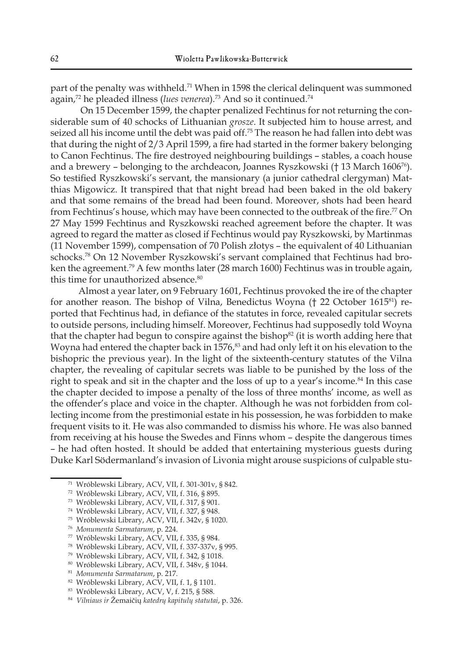part of the penalty was withheld.<sup>71</sup> When in 1598 the clerical delinquent was summoned again,<sup>72</sup> he pleaded illness (*lues venerea*).<sup>73</sup> And so it continued.<sup>74</sup>

 On 15 December 1599, the chapter penalized Fechtinus for not returning the considerable sum of 40 schocks of Lithuanian *grosze*. It subjected him to house arrest, and seized all his income until the debt was paid off.<sup>75</sup> The reason he had fallen into debt was that during the night of 2/3 April 1599, a fire had started in the former bakery belonging to Canon Fechtinus. The fire destroyed neighbouring buildings – stables, a coach house and a brewery – belonging to the archdeacon, Joannes Ryszkowski († 13 March 160676). So testified Ryszkowski's servant, the mansionary (a junior cathedral clergyman) Matthias Migowicz. It transpired that that night bread had been baked in the old bakery and that some remains of the bread had been found. Moreover, shots had been heard from Fechtinus's house, which may have been connected to the outbreak of the fire.<sup>77</sup> On 27 May 1599 Fechtinus and Ryszkowski reached agreement before the chapter. It was agreed to regard the matter as closed if Fechtinus would pay Ryszkowski, by Martinmas (11 November 1599), compensation of 70 Polish złotys – the equivalent of 40 Lithuanian schocks.78 On 12 November Ryszkowski's servant complained that Fechtinus had broken the agreement.<sup>79</sup> A few months later (28 march 1600) Fechtinus was in trouble again, this time for unauthorized absence.<sup>80</sup>

Almost a year later, on 9 February 1601, Fechtinus provoked the ire of the chapter for another reason. The bishop of Vilna, Benedictus Woyna († 22 October 161581) reported that Fechtinus had, in defiance of the statutes in force, revealed capitular secrets to outside persons, including himself. Moreover, Fechtinus had supposedly told Woyna that the chapter had begun to conspire against the bishop $82$  (it is worth adding here that Woyna had entered the chapter back in  $1576<sup>83</sup>$  and had only left it on his elevation to the bishopric the previous year). In the light of the sixteenth-century statutes of the Vilna chapter, the revealing of capitular secrets was liable to be punished by the loss of the right to speak and sit in the chapter and the loss of up to a year's income.<sup>84</sup> In this case the chapter decided to impose a penalty of the loss of three months' income, as well as the offender's place and voice in the chapter. Although he was not forbidden from collecting income from the prestimonial estate in his possession, he was forbidden to make frequent visits to it. He was also commanded to dismiss his whore. He was also banned from receiving at his house the Swedes and Finns whom – despite the dangerous times – he had often hosted. It should be added that entertaining mysterious guests during Duke Karl Södermanland's invasion of Livonia might arouse suspicions of culpable stu-

<sup>71</sup> Wróblewski Library, ACV, VII, f. 301-301v, § 842.

<sup>72</sup> Wróblewski Library, ACV, VII, f. 316, § 895.

<sup>73</sup> Wróblewski Library, ACV, VII, f. 317, § 901.

<sup>74</sup> Wróblewski Library, ACV, VII, f. 327, § 948.

<sup>75</sup> Wróblewski Library, ACV, VII, f. 342v, § 1020.

<sup>76</sup> *Monumenta Sarmatarum*, p. 224.

<sup>77</sup> Wróblewski Library, ACV, VII, f. 335, § 984.

<sup>78</sup> Wróblewski Library, ACV, VII, f. 337-337v, § 995.

<sup>79</sup> Wróblewski Library, ACV, VII, f. 342, § 1018.

<sup>&</sup>lt;sup>80</sup> Wróblewski Library, ACV, VII, f. 348v, § 1044.<br><sup>81</sup> Monumenta Sarmatarum, p. 217.

<sup>&</sup>lt;sup>82</sup> Wróblewski Library, ACV, VII, f. 1, § 1101.

<sup>83</sup> Wróblewski Library, ACV, V, f. 215, § 588.

<sup>84</sup> *Vilniaus ir* Žemaičių *katedrų kapitulų statutai*, p. 326.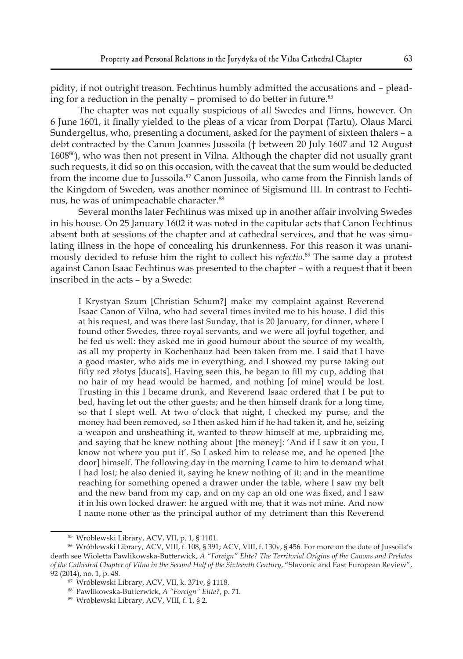pidity, if not outright treason. Fechtinus humbly admitted the accusations and – pleading for a reduction in the penalty - promised to do better in future.<sup>85</sup>

The chapter was not equally suspicious of all Swedes and Finns, however. On 6 June 1601, it finally yielded to the pleas of a vicar from Dorpat (Tartu), Olaus Marci Sundergeltus, who, presenting a document, asked for the payment of sixteen thalers – a debt contracted by the Canon Joannes Jussoila († between 20 July 1607 and 12 August 160886), who was then not present in Vilna. Although the chapter did not usually grant such requests, it did so on this occasion, with the caveat that the sum would be deducted from the income due to Jussoila.<sup>87</sup> Canon Jussoila, who came from the Finnish lands of the Kingdom of Sweden, was another nominee of Sigismund III. In contrast to Fechtinus, he was of unimpeachable character.<sup>88</sup>

Several months later Fechtinus was mixed up in another affair involving Swedes in his house. On 25 January 1602 it was noted in the capitular acts that Canon Fechtinus absent both at sessions of the chapter and at cathedral services, and that he was simulating illness in the hope of concealing his drunkenness. For this reason it was unanimously decided to refuse him the right to collect his *refectio*. <sup>89</sup> The same day a protest against Canon Isaac Fechtinus was presented to the chapter – with a request that it been inscribed in the acts – by a Swede:

I Krystyan Szum [Christian Schum?] make my complaint against Reverend Isaac Canon of Vilna, who had several times invited me to his house. I did this at his request, and was there last Sunday, that is 20 January, for dinner, where I found other Swedes, three royal servants, and we were all joyful together, and he fed us well: they asked me in good humour about the source of my wealth, as all my property in Kochenhauz had been taken from me. I said that I have a good master, who aids me in everything, and I showed my purse taking out fifty red złotys [ducats]. Having seen this, he began to fill my cup, adding that no hair of my head would be harmed, and nothing [of mine] would be lost. Trusting in this I became drunk, and Reverend Isaac ordered that I be put to bed, having let out the other guests; and he then himself drank for a long time, so that I slept well. At two o'clock that night, I checked my purse, and the money had been removed, so I then asked him if he had taken it, and he, seizing a weapon and unsheathing it, wanted to throw himself at me, upbraiding me, and saying that he knew nothing about [the money]: 'And if I saw it on you, I know not where you put it'. So I asked him to release me, and he opened [the door] himself. The following day in the morning I came to him to demand what I had lost; he also denied it, saying he knew nothing of it: and in the meantime reaching for something opened a drawer under the table, where I saw my belt and the new band from my cap, and on my cap an old one was fixed, and I saw it in his own locked drawer: he argued with me, that it was not mine. And now I name none other as the principal author of my detriment than this Reverend

<sup>85</sup> Wróblewski Library, ACV, VII, p. 1, § 1101.

<sup>86</sup> Wróblewski Library, ACV, VIII, f. 108, § 391; ACV, VIII, f. 130v, § 456. For more on the date of Jussoila's death see Wioletta Pawlikowska-Butterwick, *A "Foreign" Elite? The Territorial Origins of the Canons and Prelates of the Cathedral Chapter of Vilna in the Second Half of the Sixteenth Century*, "Slavonic and East European Review", 92 (2014), no. 1, p. 48.

<sup>87</sup> Wróblewski Library, ACV, VII, k. 371v, § 1118.

<sup>88</sup> Pawlikowska-Butterwick, *A "Foreign" Elite?*, p. 71.

<sup>89</sup> Wróblewski Library, ACV, VIII, f. 1, § 2.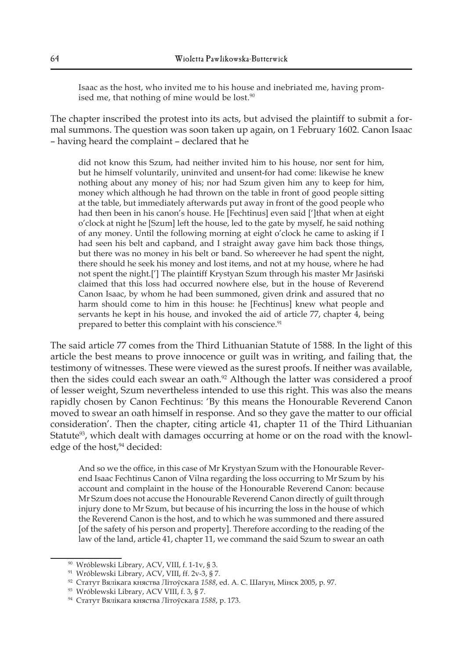Isaac as the host, who invited me to his house and inebriated me, having promised me, that nothing of mine would be lost.<sup>90</sup>

The chapter inscribed the protest into its acts, but advised the plaintiff to submit a formal summons. The question was soon taken up again, on 1 February 1602. Canon Isaac – having heard the complaint – declared that he

did not know this Szum, had neither invited him to his house, nor sent for him, but he himself voluntarily, uninvited and unsent-for had come: likewise he knew nothing about any money of his; nor had Szum given him any to keep for him, money which although he had thrown on the table in front of good people sitting at the table, but immediately afterwards put away in front of the good people who had then been in his canon's house. He [Fechtinus] even said [']that when at eight o'clock at night he [Szum] left the house, led to the gate by myself, he said nothing of any money. Until the following morning at eight o'clock he came to asking if I had seen his belt and capband, and I straight away gave him back those things, but there was no money in his belt or band. So whereever he had spent the night, there should he seek his money and lost items, and not at my house, where he had not spent the night.['] The plaintiff Krystyan Szum through his master Mr Jasiński claimed that this loss had occurred nowhere else, but in the house of Reverend Canon Isaac, by whom he had been summoned, given drink and assured that no harm should come to him in this house: he [Fechtinus] knew what people and servants he kept in his house, and invoked the aid of article 77, chapter 4, being prepared to better this complaint with his conscience.<sup>91</sup>

The said article 77 comes from the Third Lithuanian Statute of 1588. In the light of this article the best means to prove innocence or guilt was in writing, and failing that, the testimony of witnesses. These were viewed as the surest proofs. If neither was available, then the sides could each swear an oath. $92$  Although the latter was considered a proof of lesser weight, Szum nevertheless intended to use this right. This was also the means rapidly chosen by Canon Fechtinus: 'By this means the Honourable Reverend Canon moved to swear an oath himself in response. And so they gave the matter to our official consideration'. Then the chapter, citing article 41, chapter 11 of the Third Lithuanian Statute<sup>93</sup>, which dealt with damages occurring at home or on the road with the knowledge of the host,<sup>94</sup> decided:

And so we the office, in this case of Mr Krystyan Szum with the Honourable Reverend Isaac Fechtinus Canon of Vilna regarding the loss occurring to Mr Szum by his account and complaint in the house of the Honourable Reverend Canon: because Mr Szum does not accuse the Honourable Reverend Canon directly of guilt through injury done to Mr Szum, but because of his incurring the loss in the house of which the Reverend Canon is the host, and to which he was summoned and there assured [of the safety of his person and property]. Therefore according to the reading of the law of the land, article 41, chapter 11, we command the said Szum to swear an oath

<sup>90</sup> Wróblewski Library, ACV, VIII, f. 1-1v, § 3.

<sup>91</sup> Wróblewski Library, ACV, VIII, ff. 2v-3, § 7.

<sup>92</sup> Статут Вялікага княства Літоўскага *1588*, ed. А. С. Шагун, Мінск 2005, p. 97.

<sup>93</sup> Wróblewski Library, ACV VIII, f. 3, § 7.

<sup>94</sup> Статут Вялікага княства Літоўскага *1588*, p. 173.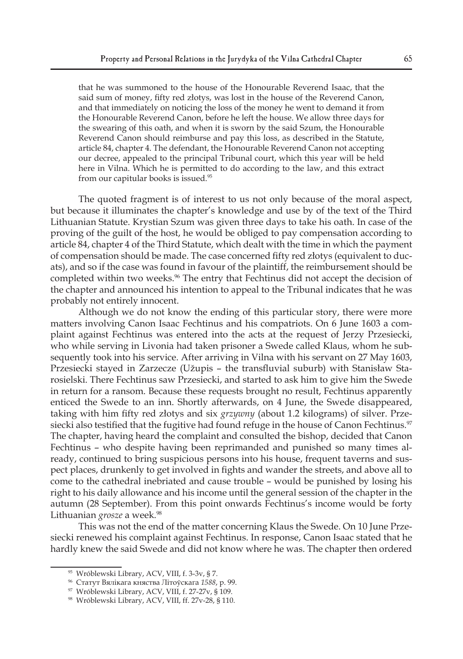that he was summoned to the house of the Honourable Reverend Isaac, that the said sum of money, fifty red złotys, was lost in the house of the Reverend Canon, and that immediately on noticing the loss of the money he went to demand it from the Honourable Reverend Canon, before he left the house. We allow three days for the swearing of this oath, and when it is sworn by the said Szum, the Honourable Reverend Canon should reimburse and pay this loss, as described in the Statute, article 84, chapter 4. The defendant, the Honourable Reverend Canon not accepting our decree, appealed to the principal Tribunal court, which this year will be held here in Vilna. Which he is permitted to do according to the law, and this extract from our capitular books is issued.<sup>95</sup>

The quoted fragment is of interest to us not only because of the moral aspect, but because it illuminates the chapter's knowledge and use by of the text of the Third Lithuanian Statute. Krystian Szum was given three days to take his oath. In case of the proving of the guilt of the host, he would be obliged to pay compensation according to article 84, chapter 4 of the Third Statute, which dealt with the time in which the payment of compensation should be made. The case concerned fifty red złotys (equivalent to ducats), and so if the case was found in favour of the plaintiff, the reimbursement should be completed within two weeks.<sup>96</sup> The entry that Fechtinus did not accept the decision of the chapter and announced his intention to appeal to the Tribunal indicates that he was probably not entirely innocent.

Although we do not know the ending of this particular story, there were more matters involving Canon Isaac Fechtinus and his compatriots. On 6 June 1603 a complaint against Fechtinus was entered into the acts at the request of Jerzy Przesiecki, who while serving in Livonia had taken prisoner a Swede called Klaus, whom he subsequently took into his service. After arriving in Vilna with his servant on 27 May 1603, Przesiecki stayed in Zarzecze (Užupis – the transfluvial suburb) with Stanisław Starosielski. There Fechtinus saw Przesiecki, and started to ask him to give him the Swede in return for a ransom. Because these requests brought no result, Fechtinus apparently enticed the Swede to an inn. Shortly afterwards, on 4 June, the Swede disappeared, taking with him fifty red złotys and six *grzywny* (about 1.2 kilograms) of silver. Przesiecki also testified that the fugitive had found refuge in the house of Canon Fechtinus.<sup>97</sup> The chapter, having heard the complaint and consulted the bishop, decided that Canon Fechtinus – who despite having been reprimanded and punished so many times already, continued to bring suspicious persons into his house, frequent taverns and suspect places, drunkenly to get involved in fights and wander the streets, and above all to come to the cathedral inebriated and cause trouble – would be punished by losing his right to his daily allowance and his income until the general session of the chapter in the autumn (28 September). From this point onwards Fechtinus's income would be forty Lithuanian *grosze* a week.<sup>98</sup>

This was not the end of the matter concerning Klaus the Swede. On 10 June Przesiecki renewed his complaint against Fechtinus. In response, Canon Isaac stated that he hardly knew the said Swede and did not know where he was. The chapter then ordered

<sup>95</sup> Wróblewski Library, ACV, VIII, f. 3-3v, § 7.

<sup>96</sup> Статут Вялікага княства Літоўскага *1588*, p. 99.

<sup>97</sup> Wróblewski Library, ACV, VIII, f. 27-27v, § 109.

<sup>98</sup> Wróblewski Library, ACV, VIII, ff. 27v-28, § 110.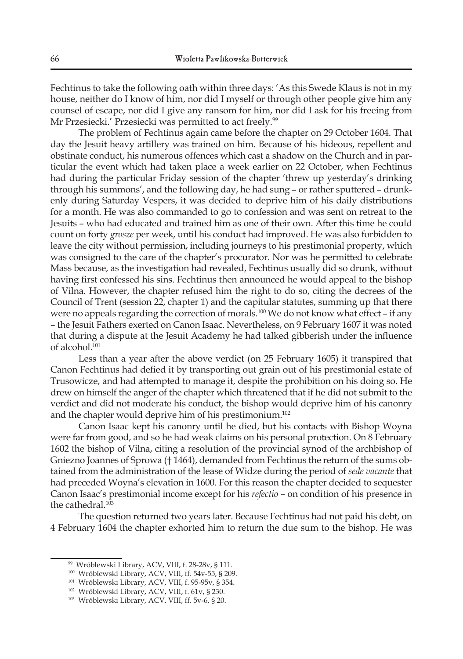Fechtinus to take the following oath within three days: 'As this Swede Klaus is not in my house, neither do I know of him, nor did I myself or through other people give him any counsel of escape, nor did I give any ransom for him, nor did I ask for his freeing from Mr Przesiecki.' Przesiecki was permitted to act freely.<sup>99</sup>

The problem of Fechtinus again came before the chapter on 29 October 1604. That day the Jesuit heavy artillery was trained on him. Because of his hideous, repellent and obstinate conduct, his numerous offences which cast a shadow on the Church and in particular the event which had taken place a week earlier on 22 October, when Fechtinus had during the particular Friday session of the chapter 'threw up yesterday's drinking through his summons', and the following day, he had sung – or rather sputtered – drunkenly during Saturday Vespers, it was decided to deprive him of his daily distributions for a month. He was also commanded to go to confession and was sent on retreat to the Jesuits – who had educated and trained him as one of their own. After this time he could count on forty *grosze* per week, until his conduct had improved. He was also forbidden to leave the city without permission, including journeys to his prestimonial property, which was consigned to the care of the chapter's procurator. Nor was he permitted to celebrate Mass because, as the investigation had revealed, Fechtinus usually did so drunk, without having first confessed his sins. Fechtinus then announced he would appeal to the bishop of Vilna. However, the chapter refused him the right to do so, citing the decrees of the Council of Trent (session 22, chapter 1) and the capitular statutes, summing up that there were no appeals regarding the correction of morals.<sup>100</sup> We do not know what effect – if any – the Jesuit Fathers exerted on Canon Isaac. Nevertheless, on 9 February 1607 it was noted that during a dispute at the Jesuit Academy he had talked gibberish under the influence of alcohol.<sup>101</sup>

Less than a year after the above verdict (on 25 February 1605) it transpired that Canon Fechtinus had defied it by transporting out grain out of his prestimonial estate of Trusowicze, and had attempted to manage it, despite the prohibition on his doing so. He drew on himself the anger of the chapter which threatened that if he did not submit to the verdict and did not moderate his conduct, the bishop would deprive him of his canonry and the chapter would deprive him of his prestimonium.<sup>102</sup>

Canon Isaac kept his canonry until he died, but his contacts with Bishop Woyna were far from good, and so he had weak claims on his personal protection. On 8 February 1602 the bishop of Vilna, citing a resolution of the provincial synod of the archbishop of Gniezno Joannes of Sprowa († 1464), demanded from Fechtinus the return of the sums obtained from the administration of the lease of Widze during the period of *sede vacante* that had preceded Woyna's elevation in 1600. For this reason the chapter decided to sequester Canon Isaac's prestimonial income except for his *refectio* – on condition of his presence in the cathedral.<sup>103</sup>

The question returned two years later. Because Fechtinus had not paid his debt, on 4 February 1604 the chapter exhorted him to return the due sum to the bishop. He was

<sup>99</sup> Wróblewski Library, ACV, VIII, f. 28-28v, § 111.

<sup>100</sup> Wróblewski Library, ACV, VIII, ff. 54v-55, § 209.

<sup>101</sup> Wróblewski Library, ACV, VIII, f. 95-95v, § 354.

<sup>102</sup> Wróblewski Library, ACV, VIII, f. 61v, § 230.

<sup>103</sup> Wróblewski Library, ACV, VIII, ff. 5v-6, § 20.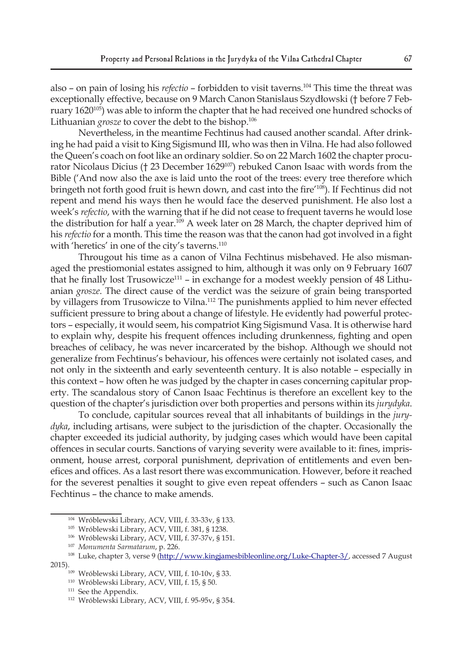also – on pain of losing his *refectio* – forbidden to visit taverns.104 This time the threat was exceptionally effective, because on 9 March Canon Stanislaus Szydłowski († before 7 February 1620<sup>105</sup>) was able to inform the chapter that he had received one hundred schocks of Lithuanian *grosze* to cover the debt to the bishop.<sup>106</sup>

Nevertheless, in the meantime Fechtinus had caused another scandal. After drinking he had paid a visit to King Sigismund III, who was then in Vilna. He had also followed the Queen's coach on foot like an ordinary soldier. So on 22 March 1602 the chapter procurator Nicolaus Dicius († 23 December 1629<sup>107</sup>) rebuked Canon Isaac with words from the Bible ('And now also the axe is laid unto the root of the trees: every tree therefore which bringeth not forth good fruit is hewn down, and cast into the fire'108). If Fechtinus did not repent and mend his ways then he would face the deserved punishment. He also lost a week's *refectio*, with the warning that if he did not cease to frequent taverns he would lose the distribution for half a year.<sup>109</sup> A week later on 28 March, the chapter deprived him of his *refectio* for a month. This time the reason was that the canon had got involved in a fight with 'heretics' in one of the city's taverns.<sup>110</sup>

Througout his time as a canon of Vilna Fechtinus misbehaved. He also mismanaged the prestiomonial estates assigned to him, although it was only on 9 February 1607 that he finally lost Trusowicze<sup>111</sup> – in exchange for a modest weekly pension of 48 Lithuanian *grosze*. The direct cause of the verdict was the seizure of grain being transported by villagers from Trusowicze to Vilna.112 The punishments applied to him never effected sufficient pressure to bring about a change of lifestyle. He evidently had powerful protectors – especially, it would seem, his compatriot King Sigismund Vasa. It is otherwise hard to explain why, despite his frequent offences including drunkenness, fighting and open breaches of celibacy, he was never incarcerated by the bishop. Although we should not generalize from Fechtinus's behaviour, his offences were certainly not isolated cases, and not only in the sixteenth and early seventeenth century. It is also notable – especially in this context – how often he was judged by the chapter in cases concerning capitular property. The scandalous story of Canon Isaac Fechtinus is therefore an excellent key to the question of the chapter's jurisdiction over both properties and persons within its *jurydyka*.

To conclude, capitular sources reveal that all inhabitants of buildings in the *jurydyka*, including artisans, were subject to the jurisdiction of the chapter. Occasionally the chapter exceeded its judicial authority, by judging cases which would have been capital offences in secular courts. Sanctions of varying severity were available to it: fines, imprisonment, house arrest, corporal punishment, deprivation of entitlements and even benefices and offices. As a last resort there was excommunication. However, before it reached for the severest penalties it sought to give even repeat offenders – such as Canon Isaac Fechtinus – the chance to make amends.

<sup>104</sup> Wróblewski Library, ACV, VIII, f. 33-33v, § 133.

<sup>105</sup> Wróblewski Library, ACV, VIII, f. 381, § 1238.

<sup>106</sup> Wróblewski Library, ACV, VIII, f. 37-37v, § 151.

<sup>&</sup>lt;sup>107</sup> Monumenta Sarmatarum, p. 226.<br><sup>108</sup> Luke, chapter 3, verse 9 (http://www.kingjamesbibleonline.org/Luke-Chapter-3/, accessed 7 August 2015).

<sup>109</sup> Wróblewski Library, ACV, VIII, f. 10-10v, § 33.

<sup>110</sup> Wróblewski Library, ACV, VIII, f. 15, § 50.

<sup>&</sup>lt;sup>111</sup> See the Appendix.

<sup>112</sup> Wróblewski Library, ACV, VIII, f. 95-95v, § 354.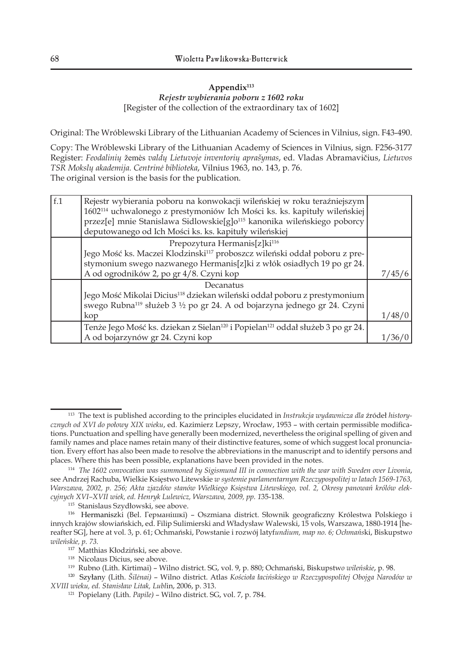## **Appendix113** *Rejestr wybierania poboru z 1602 roku* [Register of the collection of the extraordinary tax of 1602]

Original: The Wróblewski Library of the Lithuanian Academy of Sciences in Vilnius, sign. F43-490.

Copy: The Wróblewski Library of the Lithuanian Academy of Sciences in Vilnius, sign. F256-3177 Register: *Feodalinių* žemės *valdų Lietuvoje inventorių aprašymas*, ed. Vladas Abramavičius, *Lietuvos TSR Mokslų akademija. Centrinė biblioteka*, Vilnius 1963, no. 143, p. 76. The original version is the basis for the publication.

| f <sub>1</sub> | Rejestr wybierania poboru na konwokacji wileńskiej w roku teraźniejszym<br>1602 <sup>114</sup> uchwalonego z prestymoniów Ich Mości ks. ks. kapituły wileńskiej<br>przez[e] mnie Stanislawa Sidlowskie[g]o <sup>115</sup> kanonika wileńskiego poborcy<br>deputowanego od Ich Mości ks. ks. kapituły wileńskiej |        |
|----------------|-----------------------------------------------------------------------------------------------------------------------------------------------------------------------------------------------------------------------------------------------------------------------------------------------------------------|--------|
|                | Prepozytura Hermanis[z]ki <sup>116</sup>                                                                                                                                                                                                                                                                        |        |
|                | Jego Mość ks. Maczei Klodzinski <sup>117</sup> proboszcz wileński oddał poboru z pre-                                                                                                                                                                                                                           |        |
|                | stymonium swego nazwanego Hermanis[z]ki z włók osiadłych 19 po gr 24.                                                                                                                                                                                                                                           |        |
|                | A od ogrodników 2, po gr 4/8. Czyni kop                                                                                                                                                                                                                                                                         | 7/45/6 |
|                | Decanatus                                                                                                                                                                                                                                                                                                       |        |
|                | Jego Mość Mikolai Dicius <sup>118</sup> dziekan wileński oddał poboru z prestymonium                                                                                                                                                                                                                            |        |
|                | swego Rubna <sup>119</sup> służeb 3 1/2 po gr 24. A od bojarzyna jednego gr 24. Czyni                                                                                                                                                                                                                           |        |
|                | kop                                                                                                                                                                                                                                                                                                             | 1/48/0 |
|                | Tenże Jego Mość ks. dziekan z Sielan <sup>120</sup> i Popielan <sup>121</sup> oddał służeb 3 po gr 24.                                                                                                                                                                                                          |        |
|                | A od bojarzynów gr 24. Czyni kop                                                                                                                                                                                                                                                                                |        |

<sup>115</sup> Stanislaus Szydłowski, see above.

<sup>113</sup> The text is published according to the principles elucidated in *Instrukcja wydawnicza dla* źródeł *historycznych od XVI do połowy XIX wieku*, ed. Kazimierz Lepszy, Wrocław, 1953 – with certain permissible modifications. Punctuation and spelling have generally been modernized, nevertheless the original spelling of given and family names and place names retain many of their distinctive features, some of which suggest local pronunciation. Every effort has also been made to resolve the abbreviations in the manuscript and to identify persons and places. Where this has been possible, explanations have been provided in the notes.

<sup>114</sup> *The 1602 convocation was summoned by Sigismund III in connection with the war with Sweden over Livonia*, see Andrzej Rachuba, Wielkie Księstwo Litewskie *w systemie parlamentarnym Rzeczypospolitej w latach 1569-1763, Warszawa, 2002, p. 256; Akta zjazdów stanów Wielkiego Księstwa Litewskiego, vol. 2, Okresy panowań królów elekcyjnych XVI–XVII wiek, ed. Henryk Lulewicz, Warszawa, 2009, pp. 1*35-138.

<sup>116</sup> Hermaniszki (Bel. Германішкі) – Oszmiana district. Słownik geograficzny Królestwa Polskiego i innych krajów słowiańskich, ed. Filip Sulimierski and Władysław Walewski, 15 vols, Warszawa, 1880-1914 [hereafter SG], here at vol. 3, p. 61; Ochmański, Powstanie i rozwój latyf*undium, map no. 6; Ochmańs*ki, Biskupstw*o wileńskie, p. 73.*

<sup>&</sup>lt;sup>118</sup> Nicolaus Dicius, see above.

<sup>119</sup> Rubno (Lith. Kirtimai) – Wilno district. SG, vol. 9, p. 880; Ochmański, Biskupstw*o wileńskie*, p. 98.

<sup>120</sup> Szyłany (Lith. *Šilėnai)* – Wilno district. Atlas *Kościoła łacińskiego w Rzeczypospolitej Obojga Narodów w XVIII wieku, ed. Stanisław Litak, Lubl*in, 2006, p. 313.

<sup>121</sup> Popielany (Lith. *Papile)* – Wilno district. SG, vol. 7, p. 784.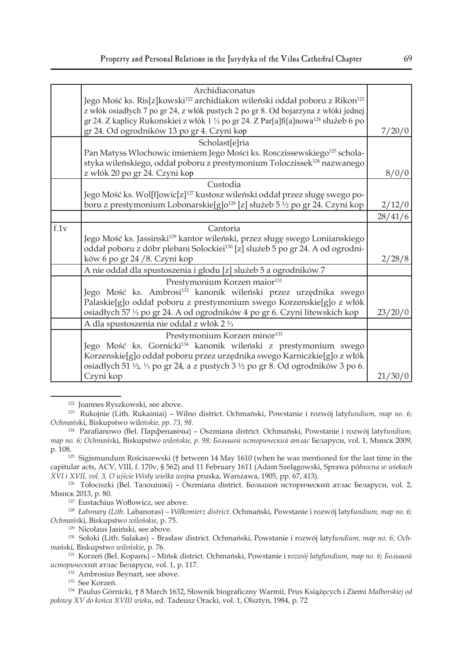|      | Archidiaconatus                                                                                                 |         |
|------|-----------------------------------------------------------------------------------------------------------------|---------|
|      | Jego Mość ks. Ris[z]kowski <sup>122</sup> archidiakon wileński oddał poboru z Rikon <sup>123</sup>              |         |
|      | z włók osiadłych 7 po gr 24, z włók pustych 2 po gr 8. Od bojarzyna z włóki jednej                              |         |
|      | gr 24. Z kaplicy Rukonskiei z włók 1 1/2 po gr 24. Z Par[a]fi[a]nowa <sup>124</sup> służeb 6 po                 |         |
|      | gr 24. Od ogrodników 13 po gr 4. Czyni kop                                                                      | 7/20/0  |
|      | Scholast[e]ria                                                                                                  |         |
|      | Pan Matyss Wlochowic imieniem Jego Mości ks. Rosczissewskiego <sup>125</sup> schola-                            |         |
|      | styka wileńskiego, oddał poboru z prestymonium Toloczissek <sup>126</sup> nazwanego                             |         |
|      | z włók 20 po gr 24. Czyni kop                                                                                   | 8/0/0   |
|      | Custodia                                                                                                        |         |
|      | Jego Mość ks. Wol[ł]owic[z] <sup>127</sup> kustosz wileński oddał przez sługę swego po-                         |         |
|      | boru z prestymonium Lobonarskie[g]o <sup>128</sup> [z] służeb 5 ½ po gr 24. Czyni kop                           | 2/12/0  |
|      |                                                                                                                 | 28/41/6 |
| f.1v | Cantoria                                                                                                        |         |
|      | Jego Mość ks. Jassinski <sup>129</sup> kantor wileński, przez sługę swego Loniianskiego                         |         |
|      | oddał poboru z dóbr plebani Solockiei <sup>130</sup> [z] slużeb 5 po gr 24. A od ogrodni-                       |         |
|      | ków 6 po gr 24 / 8. Czyni kop                                                                                   | 2/28/8  |
|      | A nie oddał dla spustoszenia i głodu [z] slużeb 5 a ogrodników 7                                                |         |
|      | Prestymonium Korzen maior <sup>131</sup>                                                                        |         |
|      | Jego Mość ks. Ambrosi <sup>132</sup> kanonik wileński przez urzędnika swego                                     |         |
|      | Palaskie[g]o oddał poboru z prestymonium swego Korzenskie[g]o z włók                                            |         |
|      | osiadłych 57 1/3 po gr 24. A od ogrodników 4 po gr 6. Czyni litewskich kop                                      | 23/20/0 |
|      | A dla spustoszenia nie oddał z włók 2 1/3                                                                       |         |
|      | Prestymonium Korzen minor <sup>133</sup>                                                                        |         |
|      | Jego Mość ks. Gornicki <sup>134</sup> kanonik wileński z prestymonium swego                                     |         |
|      | Korzenskie[g]o oddał poboru przez urzędnika swego Karniczkie[g]o z włók                                         |         |
|      | osiadłych 51 $\frac{1}{2}$ , $\frac{1}{3}$ po gr 24, a z pustych 3 $\frac{1}{2}$ po gr 8. Od ogrodników 3 po 6. |         |
|      | Czyni kop                                                                                                       | 21/30/0 |

<sup>125</sup> Sigismundum Rościszewski († between 14 May 1610 (when he was mentioned for the last time in the capitular acts, ACV, VIII, f. 170v, § 562) and 11 February 1611 (Adam Szelągowski, Sprawa pó*łnocna w wiekach* 

<sup>126</sup> Tołociszki (Bel. Талоцішкі) – Oszmiana district. Большой исторический атлас Беларуси, vol. 2, Минск 2013, p. 80.

<sup>127</sup> Eustachius Wołłowicz, see above.

<sup>128</sup> *Łabonary (Lith.* Labanoras) *– Wiłkomierz district.* Ochmański, Powstanie i rozwój latyf*undium, map no. 6; Ochmańs*ki, Biskupstw*o wileńskie*, p. 75.

<sup>129</sup> Nicolaus Jasiński, see above.

130 Sołoki (Lith. Salakas) – Brasław district. Ochmański, Powstanie i rozwój latyf*undium, map no. 6; Ochmańs*ki, Biskupstw*o wileńskie*, p. 76.

131 Korzeń (Bel. Коранъ) – Mińsk district. Ochmański, Powstanie i r*ozwój latyfundium, map no. 6; Большой историческ*ий атлас Беларуси, vol. 1, p. 117.

<sup>132</sup> Ambrosius Beynart, see above.<br><sup>133</sup> See Korzeń.

<sup>134</sup> Paulus Górnicki, † 8 March 1632, Słownik biograficzny Warmii, Prus Książęcych i Ziemi Malborskiej od *połowy XV do końca XVIII wieku*, ed. Tadeusz Oracki, vol. 1, Olsztyn, 1984, p. 72

<sup>&</sup>lt;sup>122</sup> Joannes Ryszkowski, see above.<br><sup>123</sup> Rukojnie (Lith. Rukainiai) – Wilno district. Ochmański, Powstanie i rozwój latyf*undium, map no. 6; Ochmańs*ki, Biskupstwo wil*eńskie, pp. 73, 98.*

<sup>124</sup> Parafianowo (Bel. Парфенавiчы) – Oszmiana district. Ochmański, Powstanie i rozwój latyf*undium, map no. 6; Ochmańs*ki, Biskupstw*o wileńskie, p. 98; Большой исторический атлас* Беларуси, vol. 1, Минск 2009, p. 108.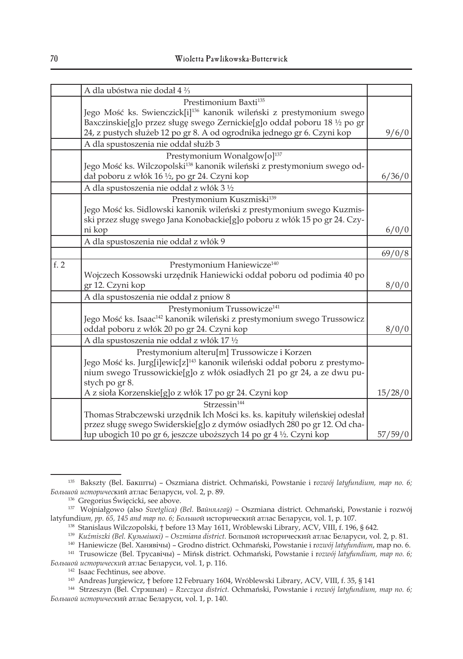|     | A dla ubóstwa nie dodał 4 <sup>2</sup> / <sub>3</sub>                                 |         |
|-----|---------------------------------------------------------------------------------------|---------|
|     | Prestimonium Baxti <sup>135</sup>                                                     |         |
|     | Jego Mość ks. Swienczick[i] <sup>136</sup> kanonik wileński z prestymonium swego      |         |
|     | Baxczinskie[g]o przez sługę swego Zernickie[g]o oddał poboru 18 1/2 po gr             |         |
|     | 24, z pustych służeb 12 po gr 8. A od ogrodnika jednego gr 6. Czyni kop               | 9/6/0   |
|     | A dla spustoszenia nie oddał służb 3                                                  |         |
|     | Prestymonium Wonalgow[0] <sup>137</sup>                                               |         |
|     | Jego Mość ks. Wilczopolski <sup>138</sup> kanonik wileński z prestymonium swego od-   |         |
|     | dał poboru z włók 16 1/2, po gr 24. Czyni kop                                         | 6/36/0  |
|     | A dla spustoszenia nie oddał z włók 3 1/2                                             |         |
|     | Prestymonium Kuszmiski <sup>139</sup>                                                 |         |
|     | Jego Mość ks. Sidlowski kanonik wileński z prestymonium swego Kuzmis-                 |         |
|     | ski przez sługę swego Jana Konobackie[g]o poboru z włók 15 po gr 24. Czy-             |         |
|     | ni kop                                                                                | 6/0/0   |
|     | A dla spustoszenia nie oddał z włók 9                                                 |         |
|     |                                                                                       | 69/0/8  |
| f.2 | Prestymonium Haniewicze <sup>140</sup>                                                |         |
|     | Wojczech Kossowski urzędnik Haniewicki oddał poboru od podimia 40 po                  |         |
|     | gr 12. Czyni kop                                                                      | 8/0/0   |
|     | A dla spustoszenia nie oddał z pniow 8                                                |         |
|     | Prestymonium Trussowicze <sup>141</sup>                                               |         |
|     | Jego Mość ks. Isaac <sup>142</sup> kanonik wileński z prestymonium swego Trussowicz   |         |
|     | oddał poboru z włók 20 po gr 24. Czyni kop                                            | 8/0/0   |
|     | A dla spustoszenia nie oddał z włók 17 1/2                                            |         |
|     | Prestymonium alteru[m] Trussowicze i Korzen                                           |         |
|     | Jego Mość ks. Jurg[i]ewic[z] <sup>143</sup> kanonik wileński oddał poboru z prestymo- |         |
|     | nium swego Trussowickie[g]o z włók osiadłych 21 po gr 24, a ze dwu pu-                |         |
|     | stych po gr 8.                                                                        |         |
|     | A z sioła Korzenskie[g]o z włók 17 po gr 24. Czyni kop                                | 15/28/0 |
|     | Strzessin <sup>144</sup>                                                              |         |
|     | Thomas Strabczewski urzędnik Ich Mości ks. ks. kapituły wileńskiej odesłał            |         |
|     | przez sługę swego Swiderskie[g]o z dymów osiadłych 280 po gr 12. Od cha-              |         |
|     | łup ubogich 10 po gr 6, jeszcze uboższych 14 po gr 4 ½. Czyni kop                     | 57/59/0 |

<sup>135</sup> Bakszty (Bel. Бакшты) – Oszmiana district. Ochmański, Powstanie i r*ozwój latyfundium, map no. 6; Большой историчес*кий атлас Беларуси, vol. 2, p. 89.

<sup>136</sup> Gregorius Święcicki, see above.

<sup>137</sup> Wojniałgowo (also *Swetglica) (Bel.* В*айнялгаў) –* Oszmiana district. Ochmański, Powstanie i rozwój latyfundiu*m, pp. 65, 145 and map no. 6; Большо*й исторический атлас Беларуси, vol. 1, p. 107.

<sup>1&</sup>lt;sup>38</sup> Stanislaus Wilczopolski, † before 13 May 1611, Wróblewski Library, ACV, VIII, f. 196, § 642.<br><sup>139</sup> Ки́гтізгкі (Bel. Кузьмішкі) – Озгтіапа district. Большой исторический атлас Беларуси, vol. 2, p. 81.

<sup>&</sup>lt;sup>140</sup> Haniewicze (Bel. Ханявічы) – Grodno district. Ochmański, Powstanie i rozwój latyfundium, map no. 6.

<sup>141</sup> Trusowicze (Bel. Трусавічы) – Mińsk district. Ochmański, Powstanie i r*ozwój latyfundium, map no. 6;* 

*Большой исторически*й атлас Беларуси, vol. 1, p. 116. 142 Isaac Fechtinus, see above. 143 Andreas Jurgiewicz, † before 12 February 1604, Wróblewski Library, ACV, VIII, f. 35, § 141

<sup>144</sup> Strzeszyn (Bel. Стрэшын) – *Rzeczyca district.* Ochmański, Powstanie i *rozwój latyfundium, map no. 6; Большой историческ*ий атлас Беларуси, vol. 1, p. 140.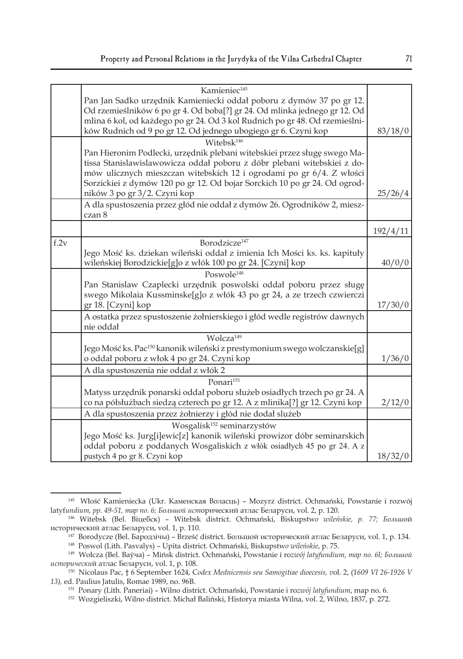|      | Kamieniec <sup>145</sup>                                                              |          |
|------|---------------------------------------------------------------------------------------|----------|
|      | Pan Jan Sadko urzędnik Kamieniecki oddał poboru z dymów 37 po gr 12.                  |          |
|      | Od rzemieślników 6 po gr 4. Od boba[?] gr 24. Od mlinka jednego gr 12. Od             |          |
|      | mlina 6 kol, od każdego po gr 24. Od 3 kol Rudnich po gr 48. Od rzemieślni-           |          |
|      |                                                                                       |          |
|      | ków Rudnich od 9 po gr 12. Od jednego ubogiego gr 6. Czyni kop                        | 83/18/0  |
|      | Witebsk <sup>146</sup>                                                                |          |
|      | Pan Hieronim Podlecki, urzędnik plebani witebskiei przez sługę swego Ma-              |          |
|      | tissa Stanislawislawowicza oddał poboru z dóbr plebani witebskiei z do-               |          |
|      | mów ulicznych mieszczan witebskich 12 i ogrodami po gr 6/4. Z włości                  |          |
|      | Sorzickiei z dymów 120 po gr 12. Od bojar Sorckich 10 po gr 24. Od ogrod-             |          |
|      | ników 3 po gr 3/2. Czyni kop                                                          | 25/26/4  |
|      | A dla spustoszenia przez głód nie oddał z dymów 26. Ogrodników 2, miesz-<br>czan 8    |          |
|      |                                                                                       |          |
|      |                                                                                       | 192/4/11 |
| f.2v | Borodzicze <sup>147</sup>                                                             |          |
|      | Jego Mość ks. dziekan wileński oddał z imienia Ich Mości ks. ks. kapituły             |          |
|      | wileńskiej Borodzickie[g]o z włók 100 po gr 24. [Czyni] kop                           | 40/0/0   |
|      | Poswole <sup>148</sup>                                                                |          |
|      | Pan Stanislaw Czaplecki urzędnik poswolski oddał poboru przez sługę                   |          |
|      | swego Mikolaia Kussminske[g]o z włók 43 po gr 24, a ze trzech czwierczi               |          |
|      | gr 18. [Czyni] kop                                                                    | 17/30/0  |
|      | A ostatka przez spustoszenie żołnierskiego i głód wedle registrów dawnych             |          |
|      | nie oddał                                                                             |          |
|      | Wolcza <sup>149</sup>                                                                 |          |
|      | Jego Mość ks. Pac <sup>150</sup> kanonik wileński z prestymonium swego wolczanskie[g] |          |
|      | o oddał poboru z włok 4 po gr 24. Czyni kop                                           | 1/36/0   |
|      | A dla spustoszenia nie oddał z włók 2                                                 |          |
|      | Ponari <sup>151</sup>                                                                 |          |
|      | Matyss urzędnik ponarski oddał poboru służeb osiadłych trzech po gr 24. A             |          |
|      | co na półsłużbach siedzą czterech po gr 12. A z mlinika[?] gr 12. Czyni kop           | 2/12/0   |
|      | A dla spustoszenia przez żołnierzy i głód nie dodał slużeb                            |          |
|      | Wosgalisk <sup>152</sup> seminarzystów                                                |          |
|      | Jego Mość ks. Jurg[i]ewic[z] kanonik wileński prowizor dóbr seminarskich              |          |
|      | oddał poboru z poddanych Wosgaliskich z włók osiadłych 45 po gr 24. A z               |          |
|      | pustych 4 po gr 8. Czyni kop                                                          | 18/32/0  |
|      |                                                                                       |          |

<sup>145</sup> Włość Kamieniecka (Ukr. Каменская Воласць) – Mozyrz district. Ochmański, Powstanie i rozwój latyf*undium, pp. 49-51, map no. 6; Большой ист*орический атлас Беларуси, vol. 2, p. 120.

<sup>146</sup> Witebsk (Bel. Віцебск) – Witebsk district. Ochmański, Biskupstw*o wileńskie, p. 77; Больш*ой исторический атлас Беларуси, vol. 1, p. 110.

<sup>147</sup> Borodycze (Bel. Бародзічы) – Brześć district. Большой исторический атлас Беларуси, vol. 1, p. 134. 148 Poswol (Lith. Pasvalys) – Upita district. Ochmański, Biskupstw*o wileńskie*, p. 75.

<sup>149</sup> Wołcza (Bel. Ваўча) – Mińsk district. Ochmański, Powstanie i ro*zwój latyfundium, map no. 6l; Большой исторически*й атлас Беларуси, vol. 1, p. 108.

<sup>150</sup> Nicolaus Pac, † 6 September 1624, C*odex Mednicensis seu Samogitiae dioecesis, v*ol. 2, (1*609 VI 26-1926 V 13),* ed. Paulius Jatulis, Romae 1989, no. 96B.

<sup>151</sup> Ponary (Lith. Paneriai) – Wilno district. Ochmański, Powstanie i ro*zwój latyfundium*, map no. 6.

<sup>152</sup> Wozgieliszki, Wilno district. Michał Baliński, Historya miasta Wilna, vol. 2, Wilno, 1837, p. 272.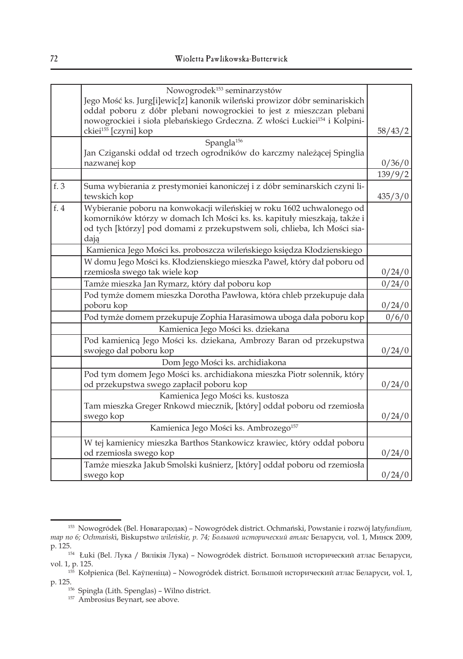|      | Nowogrodek <sup>153</sup> seminarzystów                                                                                                                                                                                               |         |
|------|---------------------------------------------------------------------------------------------------------------------------------------------------------------------------------------------------------------------------------------|---------|
|      | Jego Mość ks. Jurg[i]ewic[z] kanonik wileński prowizor dóbr seminariskich                                                                                                                                                             |         |
|      | oddał poboru z dóbr plebani nowogrockiei to jest z mieszczan plebani                                                                                                                                                                  |         |
|      | nowogrockiei i sioła plebańskiego Grdeczna. Z włości Łuckiei <sup>154</sup> i Kolpini-                                                                                                                                                |         |
|      | ckiei <sup>155</sup> [czyni] kop                                                                                                                                                                                                      | 58/43/2 |
|      | Spangla <sup>156</sup>                                                                                                                                                                                                                |         |
|      | Jan Cziganski oddał od trzech ogrodników do karczmy należącej Spinglia<br>nazwanej kop                                                                                                                                                | 0/36/0  |
|      |                                                                                                                                                                                                                                       | 139/9/2 |
| f. 3 | Suma wybierania z prestymoniei kanoniczej i z dóbr seminarskich czyni li-<br>tewskich kop                                                                                                                                             | 435/3/0 |
| f.4  | Wybieranie poboru na konwokacji wileńskiej w roku 1602 uchwalonego od<br>komorników którzy w domach Ich Mości ks. ks. kapituły mieszkają, także i<br>od tych [którzy] pod domami z przekupstwem soli, chlieba, Ich Mości sia-<br>dają |         |
|      | Kamienica Jego Mości ks. proboszcza wileńskiego księdza Kłodzienskiego                                                                                                                                                                |         |
|      | W domu Jego Mości ks. Kłodzienskiego mieszka Paweł, który dał poboru od<br>rzemiosła swego tak wiele kop                                                                                                                              | 0/24/0  |
|      | Tamże mieszka Jan Rymarz, który dał poboru kop                                                                                                                                                                                        | 0/24/0  |
|      | Pod tymże domem mieszka Dorotha Pawłowa, która chleb przekupuje dała                                                                                                                                                                  |         |
|      | poboru kop                                                                                                                                                                                                                            | 0/24/0  |
|      | Pod tymże domem przekupuje Zophia Harasimowa uboga dała poboru kop                                                                                                                                                                    | 0/6/0   |
|      | Kamienica Jego Mości ks. dziekana                                                                                                                                                                                                     |         |
|      | Pod kamienicą Jego Mości ks. dziekana, Ambrozy Baran od przekupstwa<br>swojego dał poboru kop                                                                                                                                         | 0/24/0  |
|      | Dom Jego Mości ks. archidiakona                                                                                                                                                                                                       |         |
|      | Pod tym domem Jego Mości ks. archidiakona mieszka Piotr solennik, który<br>od przekupstwa swego zapłacił poboru kop                                                                                                                   | 0/24/0  |
|      | Kamienica Jego Mości ks. kustosza                                                                                                                                                                                                     |         |
|      | Tam mieszka Greger Rnkowd miecznik, [który] oddał poboru od rzemiosła<br>swego kop                                                                                                                                                    | 0/24/0  |
|      | Kamienica Jego Mości ks. Ambrozego <sup>157</sup>                                                                                                                                                                                     |         |
|      | W tej kamienicy mieszka Barthos Stankowicz krawiec, który oddał poboru<br>od rzemiosła swego kop                                                                                                                                      | 0/24/0  |
|      | Tamże mieszka Jakub Smolski kuśnierz, [który] oddał poboru od rzemiosła<br>swego kop                                                                                                                                                  | 0/24/0  |

<sup>153</sup> Nowogródek (Bel. Нoвагaрoдак) – Nowogródek district. Ochmański, Powstanie i rozwój laty*fundium, map no 6; Ochmańsk*i, Biskupstw*o wileńskie, p. 74; Большой исторический атлас* Беларуси, vol. 1, Минск 2009,

<sup>&</sup>lt;sup>154</sup> Łuki (Bel. Лука / Вялікія Лука) – Nowogródek district. Большой исторический атлас Беларуси, vol. 1, p. 125.

<sup>155</sup> Kołpienica (Bel. Каўпеніца) – Nowogródek district. Большой исторический атлас Беларуси, vol. 1,

<sup>&</sup>lt;sup>156</sup> Spingła (Lith. Spenglas) – Wilno district.

<sup>157</sup> Ambrosius Beynart, see above.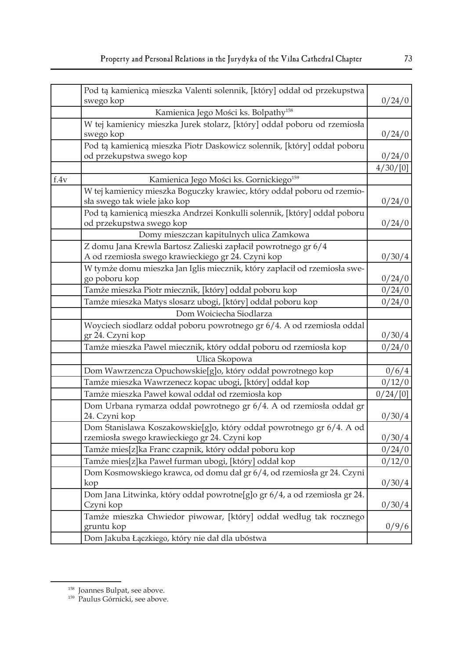|      | Pod tą kamienicą mieszka Valenti solennik, [który] oddał od przekupstwa<br>swego kop | 0/24/0   |
|------|--------------------------------------------------------------------------------------|----------|
|      | Kamienica Jego Mości ks. Bolpathy <sup>158</sup>                                     |          |
|      | W tej kamienicy mieszka Jurek stolarz, [który] oddał poboru od rzemiosła             |          |
|      | swego kop                                                                            | 0/24/0   |
|      | Pod tą kamienicą mieszka Piotr Daskowicz solennik, [który] oddał poboru              |          |
|      | od przekupstwa swego kop                                                             | 0/24/0   |
|      |                                                                                      | 4/30/[0] |
| f.4v | Kamienica Jego Mości ks. Gornickiego <sup>159</sup>                                  |          |
|      | W tej kamienicy mieszka Boguczky krawiec, który oddał poboru od rzemio-              |          |
|      | sła swego tak wiele jako kop                                                         | 0/24/0   |
|      | Pod tą kamienicą mieszka Andrzei Konkulli solennik, [który] oddał poboru             |          |
|      | od przekupstwa swego kop                                                             | 0/24/0   |
|      | Domy mieszczan kapitulnych ulica Zamkowa                                             |          |
|      | Z domu Jana Krewla Bartosz Zalieski zapłacił powrotnego gr 6/4                       |          |
|      | A od rzemiosła swego krawieckiego gr 24. Czyni kop                                   | 0/30/4   |
|      | W tymże domu mieszka Jan Iglis miecznik, który zapłacił od rzemiosła swe-            |          |
|      | go poboru kop                                                                        | 0/24/0   |
|      | Tamże mieszka Piotr miecznik, [który] oddał poboru kop                               | 0/24/0   |
|      | Tamże mieszka Matys slosarz ubogi, [który] oddał poboru kop                          | 0/24/0   |
|      | Dom Woiciecha Siodlarza                                                              |          |
|      | Woyciech siodlarz oddał poboru powrotnego gr 6/4. A od rzemiosła oddal               |          |
|      | gr 24. Czyni kop                                                                     | 0/30/4   |
|      | Tamże mieszka Pawel miecznik, który oddał poboru od rzemiosła kop                    | 0/24/0   |
|      | Ulica Skopowa                                                                        |          |
|      | Dom Wawrzencza Opuchowskie[g]o, który oddał powrotnego kop                           | 0/6/4    |
|      | Tamże mieszka Wawrzenecz kopac ubogi, [który] oddał kop                              | 0/12/0   |
|      | Tamże mieszka Paweł kowal oddał od rzemiosła kop                                     | 0/24/[0] |
|      | Dom Urbana rymarza oddał powrotnego gr 6/4. A od rzemiosła oddał gr                  |          |
|      | 24. Czyni kop                                                                        | 0/30/4   |
|      | Dom Stanislawa Koszakowskie[g]o, który oddał powrotnego gr 6/4. A od                 |          |
|      | rzemiosła swego krawieckiego gr 24. Czyni kop                                        | 0/30/4   |
|      | Tamże mies[z]ka Franc czapnik, który oddał poboru kop                                | 0/24/0   |
|      | Tamże mies[z]ka Paweł furman ubogi, [który] oddał kop                                | 0/12/0   |
|      | Dom Kosmowskiego krawca, od domu dał gr 6/4, od rzemiosła gr 24. Czyni               |          |
|      | kop                                                                                  | 0/30/4   |
|      | Dom Jana Litwinka, który oddał powrotne[g]o gr 6/4, a od rzemiosła gr 24.            |          |
|      | Czyni kop                                                                            | 0/30/4   |
|      | Tamże mieszka Chwiedor piwowar, [który] oddał według tak rocznego                    |          |
|      | gruntu kop                                                                           | 0/9/6    |
|      | Dom Jakuba Łączkiego, który nie dał dla ubóstwa                                      |          |

<sup>158</sup> Joannes Bulpat, see above.

<sup>159</sup> Paulus Górnicki, see above.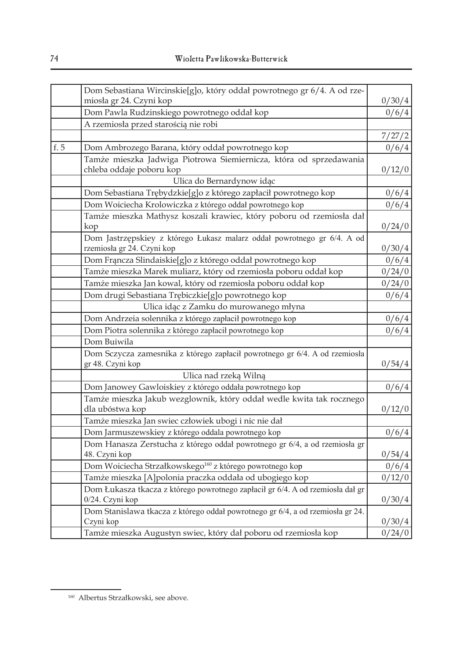|      | Dom Sebastiana Wircinskie[g]o, który oddał powrotnego gr 6/4. A od rze-                               |                |
|------|-------------------------------------------------------------------------------------------------------|----------------|
|      | miosła gr 24. Czyni kop                                                                               | 0/30/4         |
|      | Dom Pawla Rudzinskiego powrotnego oddał kop                                                           | 0/6/4          |
|      | A rzemiosła przed starością nie robi                                                                  |                |
|      |                                                                                                       | 7/27/2         |
| f. 5 | Dom Ambrozego Barana, który oddał powrotnego kop                                                      | 0/6/4          |
|      | Tamże mieszka Jadwiga Piotrowa Siemiernicza, która od sprzedawania<br>chleba oddaje poboru kop        | 0/12/0         |
|      | Ulica do Bernardynow idąc                                                                             |                |
|      | Dom Sebastiana Trębydzkie[g]o z którego zapłacił powrotnego kop                                       | 0/6/4          |
|      | Dom Woiciecha Krolowiczka z którego oddał powrotnego kop                                              | 0/6/4          |
|      | Tamże mieszka Mathysz koszali krawiec, który poboru od rzemiosła dał<br>kop                           | 0/24/0         |
|      | Dom Jastrzępskiey z którego Łukasz malarz oddał powrotnego gr 6/4. A od<br>rzemiosła gr 24. Czyni kop | 0/30/4         |
|      | Dom Francza Slindaiskie[g]o z którego oddał powrotnego kop                                            | 0/6/4          |
|      | Tamże mieszka Marek muliarz, który od rzemiosła poboru oddał kop                                      | 0/24/0         |
|      | Tamże mieszka Jan kowal, który od rzemiosła poboru oddał kop                                          | 0/24/0         |
|      | Dom drugi Sebastiana Trębiczkie[g]o powrotnego kop                                                    | 0/6/4          |
|      | Ulica idąc z Zamku do murowanego młyna                                                                |                |
|      | Dom Andrzeia solennika z którego zapłacił powrotnego kop                                              | 0/6/4          |
|      | Dom Piotra solennika z którego zapłacił powrotnego kop                                                | 0/6/4          |
|      | Dom Buiwila                                                                                           |                |
|      | Dom Sczycza zamesnika z którego zapłacił powrotnego gr 6/4. A od rzemiosła<br>gr 48. Czyni kop        | 0/54/4         |
|      | Ulica nad rzeką Wilną                                                                                 |                |
|      | Dom Janowey Gawloiskiey z którego oddała powrotnego kop                                               | 0/6/4          |
|      | Tamże mieszka Jakub wezglownik, który oddał wedle kwita tak rocznego<br>dla ubóstwa kop               | 0/12/0         |
|      | Tamże mieszka Jan swiec człowiek ubogi i nic nie dał                                                  |                |
|      | Dom Jarmuszewskiey z którego oddala powrotnego kop                                                    | 0/6/4          |
|      | Dom Hanasza Zerstucha z którego oddał powrotnego gr 6/4, a od rzemiosła gr<br>48. Czyni kop           | 0/54/4         |
|      | Dom Woiciecha Strzałkowskego <sup>160</sup> z którego powrotnego kop                                  | 0/6/4          |
|      | Tamże mieszka [A]polonia praczka oddała od ubogiego kop                                               | 0/12/0         |
|      | Dom Łukasza tkacza z którego powrotnego zapłacił gr 6/4. A od rzemiosła dał gr<br>0/24. Czyni kop     | 0/30/4         |
|      | Dom Stanislawa tkacza z którego oddał powrotnego gr 6/4, a od rzemiosła gr 24.<br>Czyni kop           | 0/30/4         |
|      | Tamże mieszka Augustyn swiec, który dał poboru od rzemiosła kop                                       | $\frac{0}{24}$ |

<sup>160</sup> Albertus Strzałkowski, see above.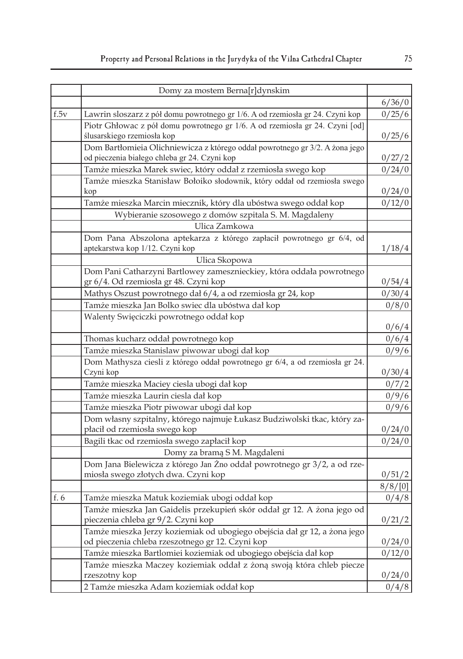|               | Domy za mostem Berna[r]dynskim                                                                                                |                 |
|---------------|-------------------------------------------------------------------------------------------------------------------------------|-----------------|
|               |                                                                                                                               | 6/36/0          |
| $f_{\cdot}5v$ | Lawrin sloszarz z pół domu powrotnego gr 1/6. A od rzemiosła gr 24. Czyni kop                                                 | 0/25/6          |
|               | Piotr Ghłowac z pół domu powrotnego gr 1/6. A od rzemiosła gr 24. Czyni [od]<br>ślusarskiego rzemiosła kop                    | 0/25/6          |
|               | Dom Bartłomieia Olichniewicza z którego oddał powrotnego gr 3/2. A żona jego<br>od pieczenia białego chleba gr 24. Czyni kop  | 0/27/2          |
|               | Tamże mieszka Marek swiec, który oddał z rzemiosła swego kop                                                                  | 0/24/0          |
|               | Tamże mieszka Stanisław Bołoiko słodownik, który oddał od rzemiosła swego<br>kop                                              | 0/24/0          |
|               | Tamże mieszka Marcin miecznik, który dla ubóstwa swego oddał kop                                                              | 0/12/0          |
|               | Wybieranie szosowego z domów szpitala S. M. Magdaleny                                                                         |                 |
|               | Ulica Zamkowa                                                                                                                 |                 |
|               | Dom Pana Abszolona aptekarza z którego zapłacił powrotnego gr 6/4, od<br>aptekarstwa kop 1/12. Czyni kop                      | 1/18/4          |
|               | Ulica Skopowa                                                                                                                 |                 |
|               | Dom Pani Catharzyni Bartlowey zamesznieckiey, która oddała powrotnego<br>gr 6/4. Od rzemiosła gr 48. Czyni kop                | 0/54/4          |
|               | Mathys Oszust powrotnego dał 6/4, a od rzemiosła gr 24, kop                                                                   | 0/30/4          |
|               | Tamże mieszka Jan Bolko swiec dla ubóstwa dał kop                                                                             | 0/8/0           |
|               | Walenty Swięciczki powrotnego oddał kop                                                                                       | 0/6/4           |
|               | Thomas kucharz oddał powrotnego kop                                                                                           | 0/6/4           |
|               | Tamże mieszka Stanislaw piwowar ubogi dał kop                                                                                 | 0/9/6           |
|               | Dom Mathysza ciesli z którego oddał powrotnego gr 6/4, a od rzemiosła gr 24.                                                  |                 |
|               | Czyni kop                                                                                                                     | 0/30/4          |
|               | Tamże mieszka Maciey ciesla ubogi dał kop                                                                                     | 0/7/2           |
|               | Tamże mieszka Laurin ciesla dał kop                                                                                           | 0/9/6           |
|               | Tamże mieszka Piotr piwowar ubogi dał kop                                                                                     | 0/9/6           |
|               | Dom własny szpitalny, którego najmuje Łukasz Budziwolski tkac, który za-<br>płacił od rzemiosła swego kop                     | 0/24/0          |
|               | Bagili tkac od rzemiosła swego zapłacił kop                                                                                   | 0/24/0          |
|               | Domy za bramą S M. Magdaleni                                                                                                  |                 |
|               | Dom Jana Bielewicza z którego Jan Żno oddał powrotnego gr 3/2, a od rze-<br>miosła swego złotych dwa. Czyni kop               | 0/51/2          |
|               |                                                                                                                               | 8/8/[0]         |
| f. 6          | Tamże mieszka Matuk koziemiak ubogi oddał kop                                                                                 | 0/4/8           |
|               | Tamże mieszka Jan Gaidelis przekupień skór oddał gr 12. A żona jego od<br>pieczenia chleba gr 9/2. Czyni kop                  | 0/21/2          |
|               | Tamże mieszka Jerzy koziemiak od ubogiego obejścia dał gr 12, a żona jego<br>od pieczenia chleba rzeszotnego gr 12. Czyni kop | 0/24/0          |
|               | Tamże mieszka Bartlomiei koziemiak od ubogiego obejścia dał kop                                                               | 0/12/0          |
|               | Tamże mieszka Maczey koziemiak oddał z żoną swoją która chleb piecze<br>rzeszotny kop                                         |                 |
|               | 2 Tamże mieszka Adam koziemiak oddał kop                                                                                      | 0/24/0<br>0/4/8 |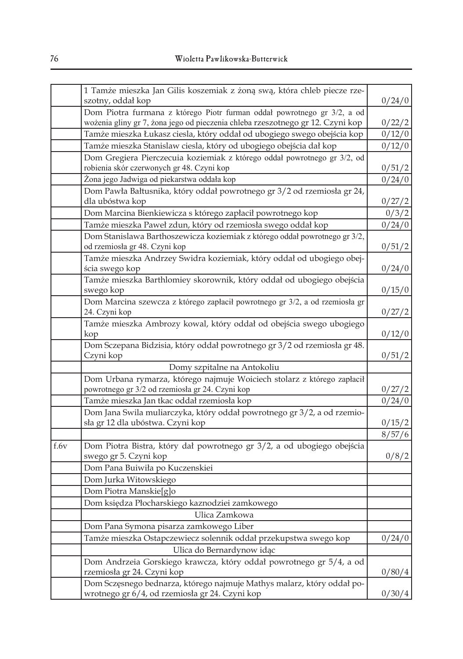|      | 1 Tamże mieszka Jan Gilis koszemiak z żoną swą, która chleb piecze rze-<br>szotny, oddał kop                                                              | 0/24/0 |
|------|-----------------------------------------------------------------------------------------------------------------------------------------------------------|--------|
|      | Dom Piotra furmana z którego Piotr furman oddał powrotnego gr 3/2, a od<br>wożenia gliny gr 7, żona jego od pieczenia chleba rzeszotnego gr 12. Czyni kop | 0/22/2 |
|      | Tamże mieszka Łukasz ciesla, który oddał od ubogiego swego obejścia kop                                                                                   | 0/12/0 |
|      | Tamże mieszka Stanislaw ciesla, który od ubogiego obejścia dał kop                                                                                        | 0/12/0 |
|      |                                                                                                                                                           |        |
|      | Dom Gregiera Pierczecuia koziemiak z którego oddał powrotnego gr 3/2, od<br>robienia skór czerwonych gr 48. Czyni kop                                     | 0/51/2 |
|      | Żona jego Jadwiga od piekarstwa oddała kop                                                                                                                | 0/24/0 |
|      | Dom Pawła Bałtusnika, który oddał powrotnego gr 3/2 od rzemiosła gr 24,<br>dla ubóstwa kop                                                                | 0/27/2 |
|      | Dom Marcina Bienkiewicza s którego zapłacił powrotnego kop                                                                                                | 0/3/2  |
|      | Tamże mieszka Paweł zdun, który od rzemiosła swego oddał kop                                                                                              | 0/24/0 |
|      | Dom Stanislawa Barthoszewicza koziemiak z którego oddał powrotnego gr 3/2,<br>od rzemiosła gr 48. Czyni kop                                               | 0/51/2 |
|      | Tamże mieszka Andrzey Swidra koziemiak, który oddał od ubogiego obej-                                                                                     |        |
|      | ścia swego kop                                                                                                                                            | 0/24/0 |
|      | Tamże mieszka Barthlomiey skorownik, który oddał od ubogiego obejścia<br>swego kop                                                                        | 0/15/0 |
|      | Dom Marcina szewcza z którego zapłacił powrotnego gr 3/2, a od rzemiosła gr<br>24. Czyni kop                                                              | 0/27/2 |
|      | Tamże mieszka Ambrozy kowal, który oddał od obejścia swego ubogiego<br>kop                                                                                | 0/12/0 |
|      | Dom Sczepana Bidzisia, który oddał powrotnego gr 3/2 od rzemiosła gr 48.<br>Czyni kop                                                                     |        |
|      |                                                                                                                                                           | 0/51/2 |
|      | Domy szpitalne na Antokoliu<br>Dom Urbana rymarza, którego najmuje Woiciech stolarz z którego zapłacił                                                    |        |
|      | powrotnego gr 3/2 od rzemiosła gr 24. Czyni kop                                                                                                           | 0/27/2 |
|      | Tamże mieszka Jan tkac oddał rzemiosła kop                                                                                                                | 0/24/0 |
|      | Dom Jana Swila muliarczyka, który oddał powrotnego gr 3/2, a od rzemio-<br>sła gr 12 dla ubóstwa. Czyni kop                                               | 0/15/2 |
|      |                                                                                                                                                           | 8/57/6 |
| f.6v | Dom Piotra Bistra, który dał powrotnego gr 3/2, a od ubogiego obejścia<br>swego gr 5. Czyni kop                                                           | 0/8/2  |
|      | Dom Pana Buiwiła po Kuczenskiei                                                                                                                           |        |
|      | Dom Jurka Witowskiego                                                                                                                                     |        |
|      | Dom Piotra Manskie[g]o                                                                                                                                    |        |
|      | Dom księdza Płocharskiego kaznodziei zamkowego                                                                                                            |        |
|      | Ulica Zamkowa                                                                                                                                             |        |
|      | Dom Pana Symona pisarza zamkowego Liber                                                                                                                   |        |
|      | Tamże mieszka Ostapczewiecz solennik oddał przekupstwa swego kop                                                                                          | 0/24/0 |
|      | Ulica do Bernardynow idąc                                                                                                                                 |        |
|      | Dom Andrzeia Gorskiego krawcza, który oddał powrotnego gr 5/4, a od                                                                                       |        |
|      | rzemiosła gr 24. Czyni kop                                                                                                                                | 0/80/4 |
|      | Dom Sczęsnego bednarza, którego najmuje Mathys malarz, który oddał po-<br>wrotnego gr 6/4, od rzemiosła gr 24. Czyni kop                                  | 0/30/4 |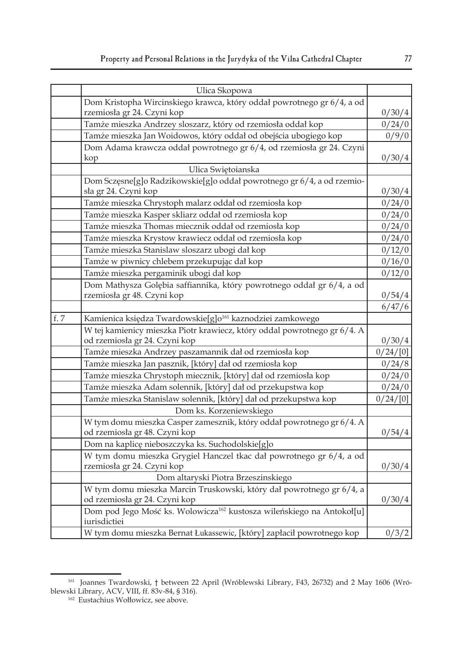|      | Ulica Skopowa                                                                     |          |
|------|-----------------------------------------------------------------------------------|----------|
|      | Dom Kristopha Wircinskiego krawca, który oddał powrotnego gr 6/4, a od            |          |
|      | rzemiosła gr 24. Czyni kop                                                        | 0/30/4   |
|      | Tamże mieszka Andrzey sloszarz, który od rzemiosła oddał kop                      | 0/24/0   |
|      | Tamże mieszka Jan Woidowos, który oddał od obejścia ubogiego kop                  | 0/9/0    |
|      | Dom Adama krawcza oddał powrotnego gr 6/4, od rzemiosła gr 24. Czyni              |          |
|      | kop                                                                               | 0/30/4   |
|      | Ulica Swiętoianska                                                                |          |
|      | Dom Sczęsne[g]o Radzikowskie[g]o oddał powrotnego gr 6/4, a od rzemio-            |          |
|      | sła gr 24. Czyni kop                                                              | 0/30/4   |
|      | Tamże mieszka Chrystoph malarz oddał od rzemiosła kop                             | 0/24/0   |
|      | Tamże mieszka Kasper skliarz oddał od rzemiosła kop                               | 0/24/0   |
|      | Tamże mieszka Thomas miecznik oddał od rzemiosła kop                              | 0/24/0   |
|      | Tamże mieszka Krystow krawiecz oddał od rzemiosła kop                             | 0/24/0   |
|      | Tamże mieszka Stanislaw sloszarz ubogi dał kop                                    | 0/12/0   |
|      | Tamże w piwnicy chlebem przekupując dał kop                                       | 0/16/0   |
|      | Tamże mieszka pergaminik ubogi dał kop                                            | 0/12/0   |
|      | Dom Mathysza Golębia saffiannika, który powrotnego oddał gr 6/4, a od             |          |
|      | rzemiosła gr 48. Czyni kop                                                        | 0/54/4   |
|      |                                                                                   | 6/47/6   |
| f. 7 | Kamienica księdza Twardowskie[g]o <sup>161</sup> kaznodziei zamkowego             |          |
|      | W tej kamienicy mieszka Piotr krawiecz, który oddal powrotnego gr 6/4. A          |          |
|      | od rzemiosła gr 24. Czyni kop                                                     | 0/30/4   |
|      | Tamże mieszka Andrzey paszamannik dał od rzemiosła kop                            | 0/24/[0] |
|      | Tamże mieszka Jan pasznik, [który] dał od rzemiosła kop                           | 0/24/8   |
|      | Tamże mieszka Chrystoph miecznik, [który] dał od rzemiosła kop                    | 0/24/0   |
|      | Tamże mieszka Adam solennik, [który] dał od przekupstwa kop                       | 0/24/0   |
|      | Tamże mieszka Stanislaw solennik, [który] dał od przekupstwa kop                  | 0/24/[0] |
|      | Dom ks. Korzeniewskiego                                                           |          |
|      | W tym domu mieszka Casper zamesznik, który oddał powrotnego gr 6/4. A             |          |
|      | od rzemiosła gr 48. Czyni kop                                                     | 0/54/4   |
|      | Dom na kaplicę nieboszczyka ks. Suchodolskie[g]o                                  |          |
|      | W tym domu mieszka Grygiel Hanczel tkac dał powrotnego gr 6/4, a od               |          |
|      | rzemiosła gr 24. Czyni kop                                                        | 0/30/4   |
|      | Dom altaryski Piotra Brzeszinskiego                                               |          |
|      | W tym domu mieszka Marcin Truskowski, który dał powrotnego gr 6/4, a              |          |
|      | od rzemiosła gr 24. Czyni kop                                                     | 0/30/4   |
|      | Dom pod Jego Mość ks. Wolowicza <sup>162</sup> kustosza wileńskiego na Antokoł[u] |          |
|      | iurisdictiei                                                                      |          |
|      | W tym domu mieszka Bernat Łukassewic, [który] zapłacił powrotnego kop             | 0/3/2    |

<sup>161</sup> Joannes Twardowski, † between 22 April (Wróblewski Library, F43, 26732) and 2 May 1606 (Wróblewski Library, ACV, VIII, ff. 83v-84, § 316).<br><sup>162</sup> Eustachius Wołłowicz, see above.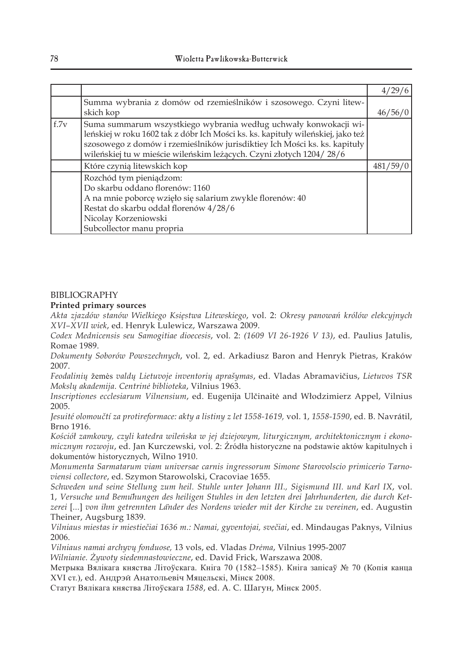|      |                                                                                                                                                                                                                                                                                                         | 4/29/6   |
|------|---------------------------------------------------------------------------------------------------------------------------------------------------------------------------------------------------------------------------------------------------------------------------------------------------------|----------|
|      | Summa wybrania z domów od rzemieślników i szosowego. Czyni litew-                                                                                                                                                                                                                                       |          |
|      | skich kop                                                                                                                                                                                                                                                                                               | 46/56/0  |
| f.7v | Suma summarum wszystkiego wybrania według uchwały konwokacji wi-<br>leńskiej w roku 1602 tak z dóbr Ich Mości ks. ks. kapituły wileńskiej, jako też<br>szosowego z domów i rzemieślników jurisdiktiey Ich Mości ks. ks. kapituły<br>wileńskiej tu w mieście wileńskim leżących. Czyni złotych 1204/28/6 |          |
|      | Które czynią litewskich kop                                                                                                                                                                                                                                                                             | 481/59/0 |
|      | Rozchód tym pieniądzom:<br>Do skarbu oddano florenów: 1160<br>A na mnie poborcę wzięło się salarium zwykle florenów: 40<br>Restat do skarbu oddał florenów 4/28/6<br>Nicolay Korzeniowski<br>Subcollector manu propria                                                                                  |          |

### BIBLIOGRAPHY

#### **Printed primary sources**

*Akta zjazdów stanów Wielkiego Księstwa Litewskiego*, vol. 2: *Okresy panowań królów elekcyjnych XVI–XVII wiek*, ed. Henryk Lulewicz, Warszawa 2009.

*Codex Mednicensis seu Samogitiae dioecesis*, vol. 2: *(1609 VI 26-1926 V 13)*, ed. Paulius Jatulis, Romae 1989.

*Dokumenty Soborów Powszechnych*, vol. 2, ed. Arkadiusz Baron and Henryk Pietras, Kraków 2007.

*Feodalinių* žemės *valdų Lietuvoje inventorių aprašymas*, ed. Vladas Abramavičius, *Lietuvos TSR Mokslų akademija. Centrinė biblioteka*, Vilnius 1963.

*Inscriptiones ecclesiarum Vilnensium*, ed. Eugenija Ulčinaitė and Włodzimierz Appel, Vilnius 2005.

*Jesuité olomoučtí za protireformace: akty a listiny z let 1558-1619,* vol. 1, *1558-1590*, ed. B. Navrátil, Brno 1916.

*Kościół zamkowy, czyli katedra wileńska w jej dziejowym, liturgicznym, architektonicznym i ekonomicznym rozwoju*, ed. Jan Kurczewski, vol. 2: Źródła historyczne na podstawie aktów kapitulnych i dokumentów historycznych, Wilno 1910.

*Monumenta Sarmatarum viam universae carnis ingressorum Simone Starovolscio primicerio Tarnoviensi collectore*, ed. Szymon Starowolski, Cracoviae 1655.

*Schweden und seine Stellung zum heil. Stuhle unter Johann III., Sigismund III. und Karl IX*, vol. 1, *Versuche und Bemu*̈*hungen des heiligen Stuhles in den letzten drei Jahrhunderten, die durch Ketzerei* [*...*] *von ihm getrennten La*̈*nder des Nordens wieder mit der Kirche zu vereinen*, ed. Augustin Theiner, Augsburg 1839.

*Vilniaus miestas ir miestiečiai 1636 m.: Namai, gyventojai, svečiai*, ed. Mindaugas Paknys, Vilnius 2006.

*Vilniaus namai archyvų fonduose,* 13 vols, ed. Vladas *Drėma*, Vilnius 1995-2007

*Wilnianie. Żywoty siedemnastowieczne*, ed. David Frick, Warszawa 2008.

Метрыка Вялікага княства Літоўскага. Кніга 70 (1582–1585). Кніга запісаў № 70 (Копія канца XVI ст.), ed. Андрэй Анатольевіч Мяцельскі, Мінск 2008.

Статут Вялікага княства Літоўскага *1588*, ed. А. С. Шагун, Мінск 2005.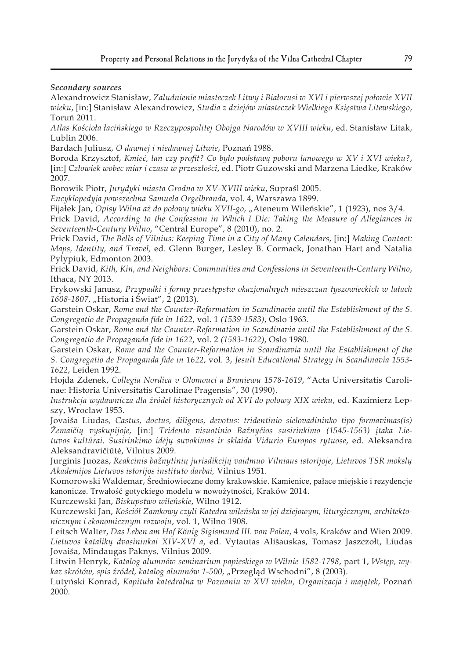### *Secondary sources*

Alexandrowicz Stanisław, *Zaludnienie miasteczek Litwy i Białorusi w XVI i pierwszej połowie XVII wieku*, [in:] Stanisław Alexandrowicz, *Studia z dziejów miasteczek Wielkiego Księstwa Litewskiego*, Toruń 2011.

*Atlas Kościoła łacińskiego w Rzeczypospolitej Obojga Narodów w XVIII wieku*, ed. Stanisław Litak, Lublin 2006.

Bardach Juliusz, *O dawnej i niedawnej Litwie*, Poznań 1988.

Boroda Krzysztof, *Kmieć, łan czy profit? Co było podstawą poboru łanowego w XV i XVI wieku?*, [in:] *Człowiek wobec miar i czasu w przeszłości*, ed. Piotr Guzowski and Marzena Liedke, Kraków 2007.

Borowik Piotr, *Jurydyki miasta Grodna w XV-XVIII wieku*, Supraśl 2005.

*Encyklopedyja powszechna Samuela Orgelbranda*, vol. 4, Warszawa 1899.

Fijałek Jan, *Opisy Wilna aż do połowy wieku XVII-go*, "Ateneum Wileńskie", 1 (1923), nos 3/4.

Frick David, *According to the Confession in Which I Die: Taking the Measure of Allegiances in Seventeenth-Century Wilno*, "Central Europe", 8 (2010), no. 2.

Frick David, *The Bells of Vilnius: Keeping Time in a City of Many Calendars*, [in:] *Making Contact: Maps, Identity, and Travel,* ed. Glenn Burger, Lesley B. Cormack, Jonathan Hart and Natalia Pylypiuk, Edmonton 2003.

Frick David, *Kith, Kin, and Neighbors: Communities and Confessions in Seventeenth-Century Wilno*, Ithaca, NY 2013.

Frykowski Janusz, *Przypadki i formy przestępstw okazjonalnych mieszczan tyszowieckich w latach 1608-1807*, "Historia i Świat", 2 (2013).

Garstein Oskar, *Rome and the Counter-Reformation in Scandinavia until the Establishment of the S. Congregatio de Propaganda fide in 1622*, vol. 1 *(1539-1583)*, Oslo 1963.

Garstein Oskar, *Rome and the Counter-Reformation in Scandinavia until the Establishment of the S. Congregatio de Propaganda fide in 1622*, vol. 2 *(1583-1622)*, Oslo 1980.

Garstein Oskar, *Rome and the Counter-Reformation in Scandinavia until the Establishment of the S. Congregatio de Propaganda fide in 1622*, vol. 3, *Jesuit Educational Strategy in Scandinavia 1553- 1622*, Leiden 1992.

Hojda Zdenek, *Collegia Nordica v Olomouci a Braniewu 1578-1619*, "Acta Universitatis Carolinae: Historia Universitatis Carolinae Pragensis", 30 (1990).

*Instrukcja wydawnicza dla źródeł historycznych od XVI do połowy XIX wieku*, ed. Kazimierz Lepszy, Wrocław 1953.

Jovaiša Liudas*, Castus, doctus, diligens, devotus: tridentinio sielovadininko tipo formavimas(is) Žemaičių vyskupijoje,* [in:] *Tridento visuotinio Bažnyčios susirinkimo (1545-1563) įtaka Lietuvos kultūrai. Susirinkimo idėjų suvokimas ir sklaida Vidurio Europos rytuose*, ed. Aleksandra Aleksandravičiūtė, Vilnius 2009.

Jurginis Juozas, *Reakcinis bažnytinių jurisdikcijų vaidmuo Vilniaus istorijoje, Lietuvos TSR mokslų Akademijos Lietuvos istorijos instituto darbai,* Vilnius 1951*.*

Komorowski Waldemar, Średniowieczne domy krakowskie. Kamienice, pałace miejskie i rezydencje kanonicze. Trwałość gotyckiego modelu w nowożytności, Kraków 2014.

Kurczewski Jan, *Biskupstwo wileńskie*, Wilno 1912.

Kurczewski Jan, *Kościół Zamkowy czyli Katedra wileńska w jej dziejowym, liturgicznym, architektonicznym i ekonomicznym rozwoju*, vol. 1, Wilno 1908.

Leitsch Walter, *Das Leben am Hof König Sigismund III. von Polen*, 4 vols, Kraków and Wien 2009. *Lietuvos katalikų dvasininkai XIV-XVI a*, ed. Vytautas Ališauskas, Tomasz Jaszczołt, Liudas Jovaiša, Mindaugas Paknys*,* Vilnius 2009.

Litwin Henryk, *Katalog alumnów seminarium papieskiego w Wilnie 1582-1798*, part 1, *Wstęp, wykaz skrótów, spis źródeł, katalog alumnów 1-500*, "Przegląd Wschodni", 8 (2003).

Lutyński Konrad, *Kapituła katedralna w Poznaniu w XVI wieku, Organizacja i majątek*, Poznań 2000.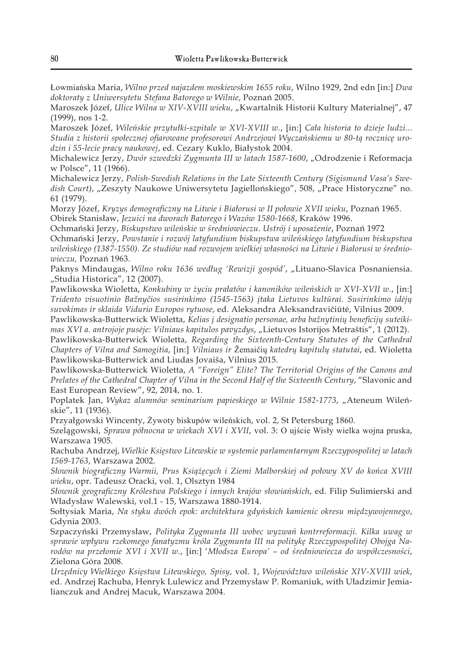Łowmiańska Maria, *Wilno przed najazdem moskiewskim 1655 roku*, Wilno 1929, 2nd edn [in:] *Dwa doktoraty z Uniwersytetu Stefana Batorego w Wilnie*, Poznań 2005.

Maroszek Józef, *Ulice Wilna w XIV-XVIII wieku*, "Kwartalnik Historii Kultury Materialnej", 47 (1999), nos 1-2.

Maroszek Józef, *Wileńskie przytułki-szpitale w XVI-XVIII w.*, [in:] *Cała historia to dzieje ludzi... Studia z historii społecznej ofiarowane profesorowi Andrzejowi Wyczańskiemu w 80-tą rocznicę urodzin i 55-lecie pracy naukowej*, ed. Cezary Kuklo, Białystok 2004.

Michalewicz Jerzy, *Dwór szwedzki Zygmunta III w latach 1587-1600*, "Odrodzenie i Reformacja w Polsce", 11 (1966).

Michalewicz Jerzy, *Polish-Swedish Relations in the Late Sixteenth Century (Sigismund Vasa's Swe*dish Court), "Zeszyty Naukowe Uniwersytetu Jagiellońskiego", 508, "Prace Historyczne" no. 61 (1979).

Morzy Józef, *Kryzys demograficzny na Litwie i Białorusi w II połowie XVII wieku*, Poznań 1965. Obirek Stanisław, *Jezuici na dworach Batorego i Wazów 1580-1668*, Kraków 1996.

Ochmański Jerzy, *Biskupstwo wileńskie w średniowieczu. Ustrój i uposażenie*, Poznań 1972

Ochmański Jerzy, *Powstanie i rozwój latyfundium biskupstwa wileńskiego latyfundium biskupstwa wileńskiego (1387-1550). Ze studiów nad rozwojem wielkiej własności na Litwie i Białorusi w średniowieczu,* Poznań 1963.

Paknys Mindaugas, *Wilno roku 1636 według 'Rewizji gospód'*, "Lituano-Slavica Posnaniensia. "Studia Historica", 12 (2007).

Pawlikowska Wioletta, *Konkubiny w życiu prałatów i kanoników wileńskich w XVI-XVII w.*, [in:] *Tridento visuotinio Bažnyčios susirinkimo (1545-1563) įtaka Lietuvos kultūrai. Susirinkimo idėjų suvokimas ir sklaida Vidurio Europos rytuose*, ed. Aleksandra Aleksandravičiūtė, Vilnius 2009.

Pawlikowska-Butterwick Wioletta, *Kelias į designatio personae, arba bažnytinių beneficijų suteikimas XVI a. antrojoje pusėje: Vilniaus kapitulos pavyzdys*, "Lietuvos Istorijos Metraštis", 1 (2012).

Pawlikowska-Butterwick Wioletta, *Regarding the Sixteenth-Century Statutes of the Cathedral Chapters of Vilna and Samogitia*, [in:] *Vilniaus ir* Žemaičių *katedrų kapitulų statutai*, ed. Wioletta Pawlikowska-Butterwick and Liudas Jovaiša, Vilnius 2015.

Pawlikowska-Butterwick Wioletta, *A "Foreign" Elite? The Territorial Origins of the Canons and Prelates of the Cathedral Chapter of Vilna in the Second Half of the Sixteenth Century*, "Slavonic and East European Review", 92, 2014, no. 1.

Poplatek Jan, *Wykaz alumnów seminarium papieskiego w Wilnie 1582-1773*, "Ateneum Wileńskie", 11 (1936).

Przyałgowski Wincenty, Żywoty biskupów wileńskich, vol. 2, St Petersburg 1860.

Szelągowski, *Sprawa północna w wiekach XVI i XVII*, vol. 3: O ujście Wisły wielka wojna pruska, Warszawa 1905.

Rachuba Andrzej, *Wielkie Księstwo Litewskie w systemie parlamentarnym Rzeczypospolitej w latach 1569-1763*, Warszawa 2002.

*Słownik biograficzny Warmii, Prus Książęcych i Ziemi Malborskiej od połowy XV do końca XVIII wieku*, opr. Tadeusz Oracki, vol. 1, Olsztyn 1984

*Słownik geograficzny Królestwa Polskiego i innych krajów słowiańskich*, ed. Filip Sulimierski and Władysław Walewski, vol.1 - 15, Warszawa 1880-1914.

Sołtysiak Maria, *Na styku dwóch epok: architektura gdyńskich kamienic okresu międzywojennego*, Gdynia 2003.

Szpaczyński Przemysław, *Polityka Zygmunta III wobec wyzwań kontrreformacji. Kilka uwag w sprawie wpływu rzekomego fanatyzmu króla Zygmunta III na politykę Rzeczypospolitej Obojga Narodów na przełomie XVI i XVII w.*, [in:] '*Młodsza Europa' – od średniowiecza do współczesności*, Zielona Góra 2008.

*Urzędnicy Wielkiego Księstwa Litewskiego, Spisy*, vol. 1, *Województwo wileńskie XIV-XVIII wiek*, ed. Andrzej Rachuba, Henryk Lulewicz and Przemysław P. Romaniuk, with Uładzimir Jemialianczuk and Andrej Macuk, Warszawa 2004.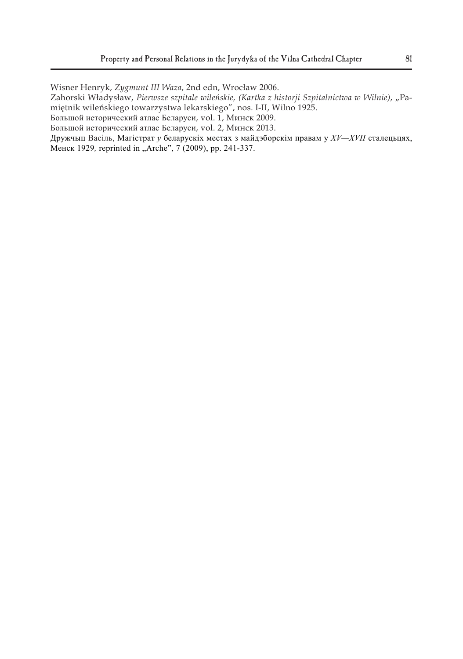Wisner Henryk, *Zygmunt III Waza*, 2nd edn, Wrocław 2006.

Zahorski Władysław, Pierwsze szpitale wileńskie, (Kartka z historji Szpitalnictwa w Wilnie), "Pamiętnik wileńskiego towarzystwa lekarskiego", nos. I-II, Wilno 1925.

Большой исторический атлас Беларуси, vol. 1, Минск 2009.

Большой исторический атлас Беларуси, vol. 2, Минск 2013.

Дружчыц Васіль, Магістрат *у* беларускіх местах з майдэборскім правам у *XV—XVII* сталецьцях, Менск 1929*,* reprinted in "Arche", 7 (2009), pp. 241-337.